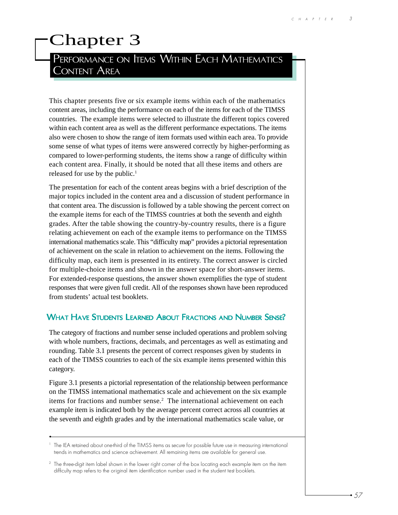# Chapter 3

# PERFORMANCE ON **ITEMS WITHIN EACH MATHEMATICS** CONTENT AREA

This chapter presents five or six example items within each of the mathematics content areas, including the performance on each of the items for each of the TIMSS countries. The example items were selected to illustrate the different topics covered within each content area as well as the different performance expectations. The items also were chosen to show the range of item formats used within each area. To provide some sense of what types of items were answered correctly by higher-performing as compared to lower-performing students, the items show a range of difficulty within each content area. Finally, it should be noted that all these items and others are released for use by the public.<sup>1</sup>

The presentation for each of the content areas begins with a brief description of the major topics included in the content area and a discussion of student performance in that content area. The discussion is followed by a table showing the percent correct on the example items for each of the TIMSS countries at both the seventh and eighth grades. After the table showing the country-by-country results, there is a figure relating achievement on each of the example items to performance on the TIMSS international mathematics scale. This "difficulty map" provides a pictorial representation of achievement on the scale in relation to achievement on the items. Following the difficulty map, each item is presented in its entirety. The correct answer is circled for multiple-choice items and shown in the answer space for short-answer items. For extended-response questions, the answer shown exemplifies the type of student responses that were given full credit. All of the responses shown have been reproduced from students' actual test booklets.

#### WHAT HAVE STUDENTS LEARNED ABOUT FRACTIONS AND NUMBER SENSE?

The category of fractions and number sense included operations and problem solving with whole numbers, fractions, decimals, and percentages as well as estimating and rounding. Table 3.1 presents the percent of correct responses given by students in each of the TIMSS countries to each of the six example items presented within this category.

Figure 3.1 presents a pictorial representation of the relationship between performance on the TIMSS international mathematics scale and achievement on the six example items for fractions and number sense.<sup>2</sup> The international achievement on each example item is indicated both by the average percent correct across all countries at the seventh and eighth grades and by the international mathematics scale value, or

<sup>&</sup>lt;sup>1</sup> The IEA retained about one-third of the TIMSS items as secure for possible future use in measuring international trends in mathematics and science achievement. All remaining items are available for general use.

<sup>&</sup>lt;sup>2</sup> The three-digit item label shown in the lower right corner of the box locating each example item on the item difficulty map refers to the original item identification number used in the student test booklets.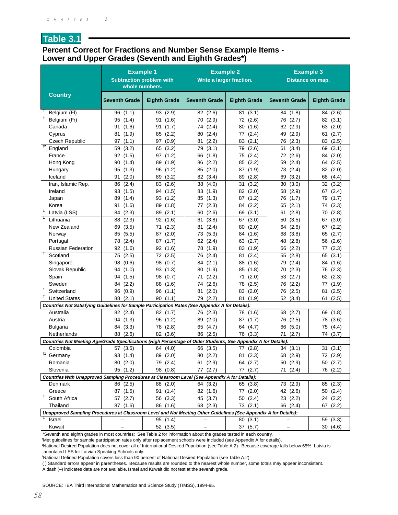### **Table 3.1**

#### **Percent Correct for Fractions and Number Sense Example Items - Lower and Upper Grades (Seventh and Eighth Grades\*)**

|                                                                                                                  | <b>Example 1</b><br><b>Subtraction problem with</b><br>whole numbers. |                         | Write a larger fraction. | <b>Example 2</b>           | <b>Example 3</b><br>Distance on map. |                      |
|------------------------------------------------------------------------------------------------------------------|-----------------------------------------------------------------------|-------------------------|--------------------------|----------------------------|--------------------------------------|----------------------|
| <b>Country</b>                                                                                                   | <b>Seventh Grade</b>                                                  | <b>Eighth Grade</b>     | <b>Seventh Grade</b>     | <b>Eighth Grade</b>        | <b>Seventh Grade</b>                 | <b>Eighth Grade</b>  |
| Belgium (FI)                                                                                                     | 96(1.1)                                                               | 93(2.9)                 | 82 (2.6)                 | 81(3.1)                    | 84 (1.8)                             | 84 (2.6)             |
| Ť<br>Belgium (Fr)                                                                                                | 95(1.4)                                                               | (1.6)<br>91             | 70 (2.9)                 | 72 (2.6)                   | 76 (2.7)                             | 82 (3.1)             |
| Canada                                                                                                           | 91(1.6)                                                               | 91<br>(1.7)             | 74 (2.4)                 | 80(1.6)                    | 62 (2.9)                             | 63 (2.0)             |
| Cyprus                                                                                                           | 81 (1.9)                                                              | 85 (2.2)                | 80 (2.4)                 | (2.4)<br>77                | 49 (2.9)                             | (2.7)<br>61          |
| <b>Czech Republic</b><br>$\overline{12}$                                                                         | (1.1)<br>97                                                           | 97<br>(0.9)             | (2.2)<br>81              | 83(2.1)                    | 76 (2.3)                             | 83 (2.5)             |
| England                                                                                                          | 59<br>(3.2)                                                           | 65<br>(3.2)             | 79<br>(3.1)              | (2.6)<br>79                | (3.4)<br>61                          | (3.1)<br>69          |
| France                                                                                                           | 92(1.5)                                                               | 97(1.2)                 | 66 (1.8)                 | 75 (2.4)                   | 72 (2.6)                             | 84 (2.0)             |
| Hong Kong                                                                                                        | 90(1.4)                                                               | 89 (1.9)                | 86 (2.2)                 | 85 (2.2)                   | 59 (2.4)                             | (2.5)<br>64          |
| Hungary                                                                                                          | 95(1.3)                                                               | 96 (1.2)                | 85 (2.0)                 | 87 (1.9)                   | 73 (2.4)                             | 82 (2.0)             |
| Iceland<br>Iran, Islamic Rep.                                                                                    | 91(2.0)<br>86<br>(2.4)                                                | 89 (3.2)<br>83<br>(2.6) | 82 (3.4)<br>38<br>(4.0)  | 89<br>(2.8)<br>31<br>(3.2) | 69<br>(3.2)<br>30<br>(3.0)           | 68<br>(4.4)<br>32    |
| Ireland                                                                                                          | 93(1.5)                                                               | 94 (1.5)                | 83 (1.9)                 | 82 (2.0)                   | 58 (2.9)                             | (3.2)<br>67<br>(2.4) |
| Japan                                                                                                            | 89 (1.4)                                                              | 93(1.2)                 | 85 (1.3)                 | 87 (1.2)                   | 76 (1.7)                             | 79<br>(1.7)          |
| Korea                                                                                                            | 91(1.6)                                                               | 89 (1.8)                | 77 (2.3)                 | 84 (2.2)                   | 65(2.1)                              | 74 (2.3)             |
| 1<br>Latvia (LSS)                                                                                                | 84 (2.3)                                                              | 89 (2.1)                | 60(2.6)                  | 69 (3.1)                   | (2.8)<br>61                          | 70 (2.8)             |
| $\overline{\phantom{a}}$<br>Lithuania                                                                            | 88 (2.3)                                                              | 92 (1.6)                | (3.8)<br>61              | 67 (3.0)                   | 50(3.5)                              | (3.0)<br>67          |
| New Zealand                                                                                                      | 69 (3.5)                                                              | (2.3)<br>71             | (2.4)<br>81              | 80(2.0)                    | 64 (2.6)                             | (2.2)<br>67          |
| Norway                                                                                                           | 85 (5.5)                                                              | 87 (2.0)                | 73 (5.3)                 | 84 (1.6)                   | 68 (3.8)                             | 65<br>(2.7)          |
| Portugal                                                                                                         | 78 (2.4)                                                              | 87 (1.7)                | 62 (2.4)                 | 63 (2.7)                   | 48 (2.8)                             | 56 (2.6)             |
| <b>Russian Federation</b>                                                                                        | 92(1.6)                                                               | 92(1.6)                 | 78 (1.9)                 | 83 (1.9)                   | 66 (2.2)                             | 77(2.3)              |
| $\ddagger$<br>Scotland                                                                                           | 75 (2.5)                                                              | 72 (2.5)                | 76 (2.4)                 | (2.4)<br>81                | 55 (2.8)                             | (3.1)<br>65          |
| Singapore                                                                                                        | 98 (0.6)                                                              | 98 (0.7)                | 84 (2.1)                 | 88<br>(1.6)                | 79 (2.4)                             | 84<br>(1.6)          |
| Slovak Republic                                                                                                  | 94 (1.0)                                                              | 93 (1.3)                | 80 (1.9)                 | (1.8)<br>85                | (2.3)<br>70                          | 76 (2.3)             |
| Spain                                                                                                            | 94 (1.5)                                                              | 98 (0.7)                | (2.2)<br>71              | (2.0)<br>71                | 53 (2.7)                             | 62 (2.3)             |
| Sweden                                                                                                           | 84 (2.2)                                                              | 88 (1.6)                | 74 (2.6)                 | 78 (2.5)                   | 76 (2.2)                             | 77 (1.9)             |
| $\overline{1}$<br>Switzerland                                                                                    | 96 (0.9)                                                              | 96(1.1)                 | (2.0)<br>81              | 83 (2.0)                   | 76 (2.5)                             | (2.5)<br>81          |
| Ť<br><b>United States</b>                                                                                        | 88 (2.1)                                                              | 90(1.1)                 | 79 (2.2)                 | 81<br>(1.9)                | 52 (3.4)                             | (2.5)<br>61          |
| Countries Not Satisfying Guidelines for Sample Participation Rates (See Appendix A for Details):                 |                                                                       |                         |                          |                            |                                      |                      |
| Australia                                                                                                        | 82 (2.4)                                                              | 82 (1.7)                | 76 (2.3)                 | 78 (1.6)                   | 68<br>(2.7)                          | (1.8)<br>69          |
| Austria                                                                                                          | 94 (1.3)                                                              | 96 (1.2)                | 89 (2.0)                 | 87(1.7)                    | 76 (2.5)                             | 78 (3.6)             |
| <b>Bulgaria</b>                                                                                                  | 84 (3.3)                                                              | 78 (2.8)                | 65 (4.7)                 | 64 (4.7)                   | 66 (5.0)                             | 75 (4.4)             |
| Netherlands                                                                                                      | 88 (2.6)                                                              | 82 (3.6)                | 86 (2.5)                 | 76 (3.3)                   | 71<br>(2.7)                          | 74 (3.7)             |
| Countries Not Meeting Age/Grade Specifications (High Percentage of Older Students; See Appendix A for Details):  |                                                                       |                         |                          |                            |                                      |                      |
| Colombia                                                                                                         | 57 (3.5)                                                              | 64 (4.0)                | 66 (3.5)                 | 77 (2.8)                   | 34(3.1)                              | 31(3.1)              |
| <sup>†1</sup> Germany                                                                                            | 93 (1.4)                                                              | 89 (2.0)                | 80 (2.2)                 | 81 (2.3)                   | 68 (2.9)                             | 72 (2.9)             |
| Romania<br>Slovenia                                                                                              | 80(2.0)<br>95 (1.2)                                                   | 79 (2.4)                | 61(2.9)<br>77(2.7)       | 64 (2.7)                   | 50 (2.9)                             | 50(2.7)              |
| Countries With Unapproved Sampling Procedures at Classroom Level (See Appendix A for Details):                   |                                                                       | 98 (0.8)                |                          | 77(2.7)                    | 71(2.4)                              | 76 (2.2)             |
| Denmark                                                                                                          | 86 (2.5)                                                              | 88 (2.0)                | 64 (3.2)                 | 65 (3.8)                   | 73 (2.9)                             | 85 (2.3)             |
| Greece                                                                                                           | 87 (1.5)                                                              | 91(1.4)                 | 82 (1.6)                 | 77 (2.0)                   | 42 (2.6)                             | 50 (2.4)             |
| T,<br>South Africa                                                                                               | 57 $(2.7)$                                                            | 56 (3.3)                | 45 (3.7)                 | 50(2.4)                    | 23(2.2)                              | 24 (2.2)             |
| Thailand                                                                                                         | 87(1.6)                                                               | 86 (1.6)                | 68 (2.3)                 | 73(2.1)                    | 66 (2.4)                             | 67(2.2)              |
| Unapproved Sampling Procedures at Classroom Level and Not Meeting Other Guidelines (See Appendix A for Details): |                                                                       |                         |                          |                            |                                      |                      |
| Israel                                                                                                           |                                                                       | 95 (1.4)                |                          | 80(3.1)                    |                                      | 59 (3.3)             |
| Kuwait                                                                                                           |                                                                       | 52 (3.5)                |                          | 37 (5.7)                   |                                      | 30 (4.6)             |

\*Seventh and eighth grades in most countries; See Table 2 for information about the grades tested in each country.

† Met guidelines for sample participation rates only after replacement schools were included (see Appendix A for details).

1 National Desired Population does not cover all of International Desired Population (see Table A.2). Because coverage falls below 65%, Latvia is annotated LSS for Latvian Speaking Schools only.

2 National Defined Population covers less than 90 percent of National Desired Population (see Table A.2).

( ) Standard errors appear in parentheses. Because results are rounded to the nearest whole number, some totals may appear inconsistent.

A dash (–) indicates data are not available. Israel and Kuwait did not test at the seventh grade.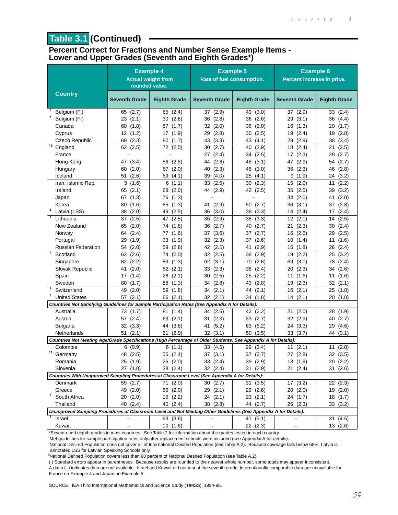# **Table 3.1 (Continued)**

#### **Percent Correct for Fractions and Number Sense Example Items - Lower and Upper Grades (Seventh and Eighth Grades\*)**

|                                                                                                                  | <b>Example 4</b><br>rounded value. | <b>Actual weight from</b> | <b>Example 5</b><br>Rate of fuel consumption. |                     | <b>Example 6</b><br>Percent increase in price. |                            |
|------------------------------------------------------------------------------------------------------------------|------------------------------------|---------------------------|-----------------------------------------------|---------------------|------------------------------------------------|----------------------------|
| <b>Country</b>                                                                                                   | <b>Seventh Grade</b>               | <b>Eighth Grade</b>       | <b>Seventh Grade</b>                          | <b>Eighth Grade</b> | <b>Seventh Grade</b>                           | <b>Eighth Grade</b>        |
| Belgium (FI)                                                                                                     | 65 (2.7)                           | 65 (2.4)                  | 37 (2.9)                                      | 49 (3.0)            | 37 (2.9)                                       | 33(2.4)                    |
| Belgium (Fr)                                                                                                     | 23(2.1)                            | 30(2.6)                   | 36(2.8)                                       | 36 (2.6)            | 29 (3.1)                                       | 36 (4.4)                   |
| Canada                                                                                                           | 60(1.8)                            | 67 (1.7)                  | 32 (2.0)                                      | 36(2.0)             | 16<br>(1.3)                                    | 20<br>(1.7)                |
| Cyprus                                                                                                           | 12 (1.2)                           | 17 (1.9)                  | 29 (2.8)                                      | 30(2.5)             | 19(2.4)                                        | (2.8)<br>19                |
| <b>Czech Republic</b>                                                                                            | 69 (2.3)                           | 80(1.7)                   | 43 (3.3)                                      | 43 (4.1)            | 29<br>(2.9)                                    | 38<br>(3.4)                |
| $+2$<br>England                                                                                                  | 62 (2.5)                           | 72 (2.5)                  | 30<br>(2.7)                                   | 40<br>(2.9)         | 18<br>(2.4)                                    | 21<br>(2.5)                |
| France                                                                                                           |                                    |                           | 27 (2.4)                                      | 34 (2.5)            | 17(2.3)                                        | (2.7)<br>29                |
| Hong Kong                                                                                                        | 47 (3.4)                           | 56 (2.8)                  | 44 (2.8)                                      | 48 (3.1)            | 47 (2.9)                                       | 54 (2.7)                   |
| Hungary                                                                                                          | 60(2.0)                            | 67 (2.0)                  | 40 (2.3)                                      | 46 (3.0)            | 36(2.3)                                        | (2.8)<br>46                |
| Iceland                                                                                                          | 51(2.6)                            | 59 (4.1)                  | (4.0)<br>39                                   | 25(4.1)             | 9<br>(1.9)                                     | (3.2)<br>24                |
| Iran, Islamic Rep.                                                                                               | 5(1.6)                             | 6(1.1)                    | 33(2.5)                                       | 30<br>(2.3)         | 15<br>(2.9)                                    | (2.2)<br>11                |
| Ireland                                                                                                          | 65 $(2.1)$                         | 68 (2.0)                  | 44 (2.9)                                      | 42 (2.5)            | 35<br>(2.5)                                    | 39<br>(3.2)                |
| Japan                                                                                                            | 67 (1.3)                           | 76 (1.3)                  |                                               |                     | 34 (2.0)                                       | (2.0)<br>41                |
| Korea<br>$\mathbf 1$                                                                                             | 80(1.6)                            | 85 (1.3)                  | 41 (2.9)                                      | 50(2.7)             | 36(3.1)                                        | (2.8)<br>37                |
| Latvia (LSS)<br>$\overline{1}$                                                                                   | 38(2.0)                            | 49 (2.5)                  | 36 (3.0)                                      | 38 (3.3)            | 14(2.4)                                        | (2.4)<br>17                |
| Lithuania                                                                                                        | 37 (2.5)                           | 47 (2.5)                  | 36 (2.9)                                      | 38 (3.3)            | 12(2.0)                                        | (2.5)<br>14                |
| New Zealand                                                                                                      | 65 (2.0)                           | 74 (1.8)                  | 36(2.7)                                       | 40 (2.7)            | (2.3)<br>21                                    | (2.4)<br>30                |
| Norway                                                                                                           | 64 (2.4)                           | 77 (1.6)                  | 37 (3.6)                                      | 37 (2.7)            | 16(2.6)                                        | 29<br>(2.5)                |
| Portugal<br><b>Russian Federation</b>                                                                            | 29 (1.9)<br>54 (2.0)               | 33(1.9)<br>59 (2.8)       | 32 (2.3)<br>42 (2.5)                          | 37 (2.6)<br>(2.9)   | 10(1.4)<br>16(1.8)                             | 11<br>(1.6)<br>26<br>(2.4) |
| $\ddot{\phantom{1}}$<br>Scotland                                                                                 | 62(2.6)                            | 74 (2.0)                  | 32(2.5)                                       | 41<br>(2.9)<br>38   | (2.2)<br>19                                    | (3.2)<br>25                |
| Singapore                                                                                                        | 82(2.2)                            | 89 (1.3)                  | 62(3.1)                                       | (2.6)<br>70         | (3.0)<br>69                                    | (2.4)<br>78                |
| Slovak Republic                                                                                                  | (2.0)<br>41                        | 52(2.1)                   | 33(2.3)                                       | (2.4)<br>38         | (2.3)<br>20                                    | (2.6)<br>34                |
| Spain                                                                                                            | 17(1.4)                            | 28(2.1)                   | 30 (2.5)                                      | 25 (2.2)            | (1.6)<br>11                                    | (1.6)<br>11                |
| Sweden                                                                                                           | 80(1.7)                            | 88 (1.3)                  | 34(2.8)                                       | 43 (2.8)            | 19(2.3)                                        | 32(2.1)                    |
| $\overline{\phantom{a}}$<br>Switzerland                                                                          | 49 (2.0)                           | 59(1.8)                   | 34(2.1)                                       | 44 (2.1)            | (2.1)<br>16                                    | 25<br>(1.8)                |
| Ť<br><b>United States</b>                                                                                        | 57(2.1)                            | 66 (2.1)                  | 32(2.1)                                       | 34 (1.8)            | 14(2.1)                                        | 20<br>(1.8)                |
| Countries Not Satisfying Guidelines for Sample Participation Rates (See Appendix A for Details):                 |                                    |                           |                                               |                     |                                                |                            |
| Australia                                                                                                        | 73 (1.7)                           | 81(1.4)                   | 34(2.5)                                       | 42 (2.2)            | (2.0)<br>21                                    | (1.9)<br>28                |
| Austria                                                                                                          | 57 (2.4)                           | 63(2.1)                   | 31(2.3)                                       | 33 (2.7)            | 32 (2.9)                                       | 40 (2.7)                   |
| <b>Bulgaria</b>                                                                                                  | 32(3.3)                            | 44 (3.8)                  | 41 (5.2)                                      | 63 (5.2)            | 24 (3.3)                                       | 29 (4.6)                   |
| Netherlands                                                                                                      | 51(2.1)                            | (2.9)<br>61               | 32(3.1)                                       | 50 (3.5)            | 33(3.7)                                        | 44 (3.1)                   |
| Countries Not Meeting Age/Grade Specifications (High Percentage of Older Students; See Appendix A for Details):  |                                    |                           |                                               |                     |                                                |                            |
| Colombia                                                                                                         | 6(0.9)                             | 6(1.1)                    | 33(4.5)                                       | 29 (3.4)            | 11(2.1)                                        | 11(2.0)                    |
| <sup>†1</sup> Germany                                                                                            | 48 (2.5)                           | 55 (2.4)                  | 37(3.1)                                       | 37 (2.7)            | 27 (2.8)                                       | 32 (3.5)                   |
| Romania                                                                                                          | 25 (1.9)                           | 26 (2.0)                  | 33(2.4)                                       | 39 (2.9)            | 13 (1.9)                                       | 20 (2.2)                   |
| Slovenia                                                                                                         | 27 (1.8)                           | 38 (2.4)                  | 32(2.4)                                       | 31(2.9)             | 21(2.4)                                        | 31(2.6)                    |
| Countries With Unapproved Sampling Procedures at Classroom Level (See Appendix A for Details):                   |                                    |                           |                                               |                     |                                                |                            |
| Denmark                                                                                                          | 59 (2.7)                           | 71(2.0)                   | 30(2.7)                                       | 31(3.5)             | 17(3.2)                                        | 22(2.3)                    |
| Greece                                                                                                           | 49 (2.0)                           | 56 (2.0)                  | 29(2.1)                                       | 29 (2.6)            | 20(2.0)                                        | 19 (2.0)                   |
| Ť.<br>South Africa                                                                                               | 20(2.0)                            | 16 (2.2)                  | 24(2.1)                                       | 23(2.1)             | 24 (1.7)                                       | 18(1.7)                    |
| Thailand                                                                                                         | 40 (2.4)                           | 40 (2.4)                  | 38(2.8)                                       | 44 (2.7)            | 26 (2.3)                                       | 33 (3.2)                   |
| Unapproved Sampling Procedures at Classroom Level and Not Meeting Other Guidelines (See Appendix A for Details): |                                    |                           |                                               |                     |                                                |                            |
| Israel                                                                                                           |                                    | 63 (3.6)                  |                                               | 41 (5.1)            |                                                | 31(4.5)                    |
| Kuwait                                                                                                           |                                    | 10(1.6)                   |                                               | 22 (2.3)            |                                                | 13(2.6)                    |

\*Seventh and eighth grades in most countries; See Table 2 for information about the grades tested in each country.

† Met guidelines for sample participation rates only after replacement schools were included (see Appendix A for details).

1 National Desired Population does not cover all of International Desired Population (see Table A.2). Because coverage falls below 65%, Latvia is annotated LSS for Latvian Speaking Schools only.

2 National Defined Population covers less than 90 percent of National Desired Population (see Table A.2).

( ) Standard errors appear in parentheses. Because results are rounded to the nearest whole number, some totals may appear inconsistent.

A dash (–) indicates data are not available. Israel and Kuwait did not test at the seventh grade. Internationally comparable data are unavailable for France on Example 4 and Japan on Example 5.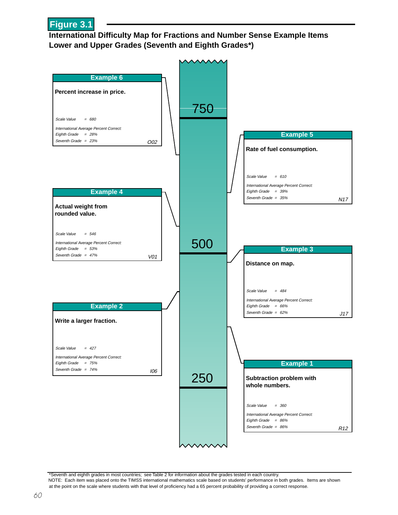

#### **International Difficulty Map for Fractions and Number Sense Example Items Lower and Upper Grades (Seventh and Eighth Grades\*)**



\*Seventh and eighth grades in most countries; see Table 2 for information about the grades tested in each country. NOTE: Each item was placed onto the TIMSS international mathematics scale based on students' performance in both grades. Items are shown at the point on the scale where students with that level of proficiency had a 65 percent probability of providing a correct response.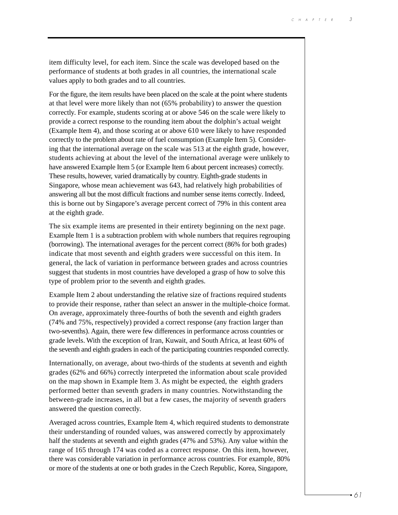item difficulty level, for each item. Since the scale was developed based on the performance of students at both grades in all countries, the international scale values apply to both grades and to all countries.

For the figure, the item results have been placed on the scale at the point where students at that level were more likely than not (65% probability) to answer the question correctly. For example, students scoring at or above 546 on the scale were likely to provide a correct response to the rounding item about the dolphin's actual weight (Example Item 4), and those scoring at or above 610 were likely to have responded correctly to the problem about rate of fuel consumption (Example Item 5). Considering that the international average on the scale was 513 at the eighth grade, however, students achieving at about the level of the international average were unlikely to have answered Example Item 5 (or Example Item 6 about percent increases) correctly. These results, however, varied dramatically by country. Eighth-grade students in Singapore, whose mean achievement was 643, had relatively high probabilities of answering all but the most difficult fractions and number sense items correctly. Indeed, this is borne out by Singapore's average percent correct of 79% in this content area at the eighth grade.

The six example items are presented in their entirety beginning on the next page. Example Item 1 is a subtraction problem with whole numbers that requires regrouping (borrowing). The international averages for the percent correct (86% for both grades) indicate that most seventh and eighth graders were successful on this item. In general, the lack of variation in performance between grades and across countries suggest that students in most countries have developed a grasp of how to solve this type of problem prior to the seventh and eighth grades.

Example Item 2 about understanding the relative size of fractions required students to provide their response, rather than select an answer in the multiple-choice format. On average, approximately three-fourths of both the seventh and eighth graders (74% and 75%, respectively) provided a correct response (any fraction larger than two-sevenths). Again, there were few differences in performance across countries or grade levels. With the exception of Iran, Kuwait, and South Africa, at least 60% of the seventh and eighth graders in each of the participating countries responded correctly.

Internationally, on average, about two-thirds of the students at seventh and eighth grades (62% and 66%) correctly interpreted the information about scale provided on the map shown in Example Item 3. As might be expected, the eighth graders performed better than seventh graders in many countries. Notwithstanding the between-grade increases, in all but a few cases, the majority of seventh graders answered the question correctly.

Averaged across countries, Example Item 4, which required students to demonstrate their understanding of rounded values, was answered correctly by approximately half the students at seventh and eighth grades (47% and 53%). Any value within the range of 165 through 174 was coded as a correct response. On this item, however, there was considerable variation in performance across countries. For example, 80% or more of the students at one or both grades in the Czech Republic, Korea, Singapore,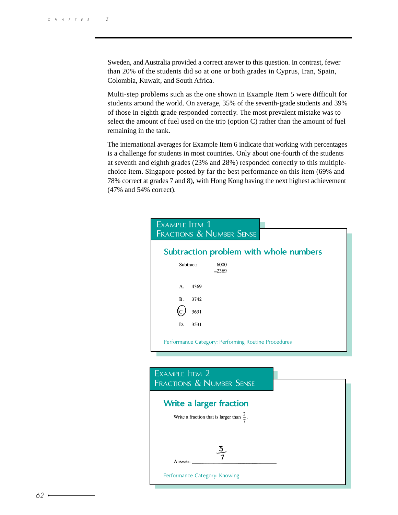Sweden, and Australia provided a correct answer to this question. In contrast, fewer than 20% of the students did so at one or both grades in Cyprus, Iran, Spain, Colombia, Kuwait, and South Africa.

Multi-step problems such as the one shown in Example Item 5 were difficult for students around the world. On average, 35% of the seventh-grade students and 39% of those in eighth grade responded correctly. The most prevalent mistake was to select the amount of fuel used on the trip (option C) rather than the amount of fuel remaining in the tank.

The international averages for Example Item 6 indicate that working with percentages is a challenge for students in most countries. Only about one-fourth of the students at seventh and eighth grades (23% and 28%) responded correctly to this multiplechoice item. Singapore posted by far the best performance on this item (69% and 78% correct at grades 7 and 8), with Hong Kong having the next highest achievement (47% and 54% correct).

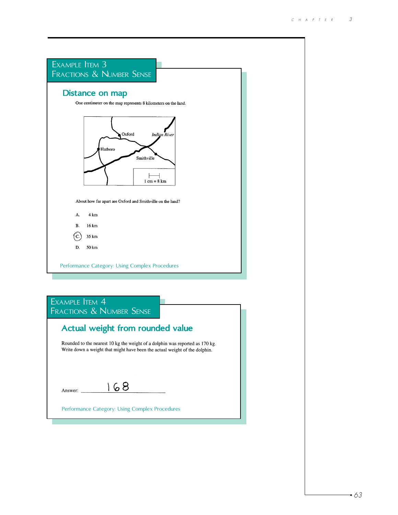| EXAMPLE <b>ITEM 3</b>                                                        |  |
|------------------------------------------------------------------------------|--|
| FRACTIONS & NUMBER SENSE                                                     |  |
| Distance on map                                                              |  |
| One centimeter on the map represents 8 kilometers on the land.               |  |
| Oxford<br><b>Indign River</b><br>Hatboro<br>Smithville<br>$1 cm = 8 km$      |  |
| About how far apart are Oxford and Smithville on the land?                   |  |
| 4 km<br>А.                                                                   |  |
| <b>B.</b><br>16 km                                                           |  |
| $\mathbf{C}$<br>35 km                                                        |  |
| D.<br>50 km                                                                  |  |
| Performance Category: Using Complex Procedures                               |  |
|                                                                              |  |
| EXAMPLE ITEM 4<br><b>FRACTIONS &amp; NUMBER SENSE</b>                        |  |
| Actual weight from rounded value                                             |  |
| Rounded to the nearest 10 kg the weight of a dolphin was reported as 170 kg. |  |

Rounded to the nearest 10 kg the weight of a dolphin was reported as 170 kg.<br>Write down a weight that might have been the actual weight of the dolphin.

| Answer: |  |  |
|---------|--|--|

Performance Category: Using Complex Procedures

 $\delta$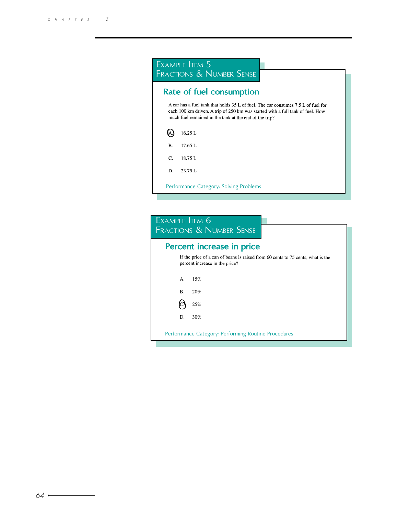|           | <b>Rate of fuel consumption</b>                                                                                                                                                                                               |
|-----------|-------------------------------------------------------------------------------------------------------------------------------------------------------------------------------------------------------------------------------|
|           | A car has a fuel tank that holds 35 L of fuel. The car consumes 7.5 L of fuel for<br>each 100 km driven. A trip of 250 km was started with a full tank of fuel. How<br>much fuel remained in the tank at the end of the trip? |
| A)        | 16.25L                                                                                                                                                                                                                        |
| <b>B.</b> | 17.65 L                                                                                                                                                                                                                       |
| C.        | 18.75L                                                                                                                                                                                                                        |
|           |                                                                                                                                                                                                                               |
| D.        | 23.75L<br>Performance Category: Solving Problems                                                                                                                                                                              |
|           | EXAMPLE ITEM 6<br><b>FRACTIONS &amp; NUMBER SENSE</b><br>Percent increase in price                                                                                                                                            |
|           | percent increase in the price?                                                                                                                                                                                                |
|           | 15%<br>А.                                                                                                                                                                                                                     |
|           | If the price of a can of beans is raised from 60 cents to 75 cents, what is the<br><b>B.</b><br>20%                                                                                                                           |
|           | 25%                                                                                                                                                                                                                           |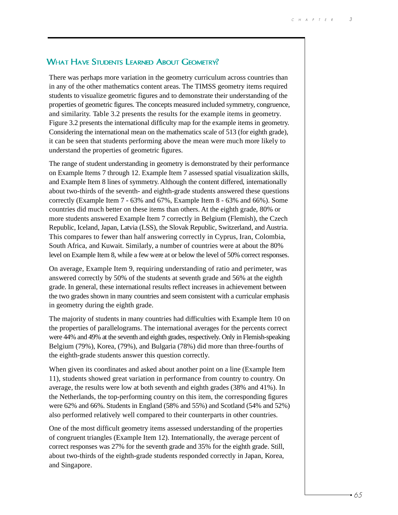#### WHAT HAVE STUDENTS LEARNED ABOUT GEOMETRY?

There was perhaps more variation in the geometry curriculum across countries than in any of the other mathematics content areas. The TIMSS geometry items required students to visualize geometric figures and to demonstrate their understanding of the properties of geometric figures. The concepts measured included symmetry, congruence, and similarity. Table 3.2 presents the results for the example items in geometry. Figure 3.2 presents the international difficulty map for the example items in geometry. Considering the international mean on the mathematics scale of 513 (for eighth grade), it can be seen that students performing above the mean were much more likely to understand the properties of geometric figures.

The range of student understanding in geometry is demonstrated by their performance on Example Items 7 through 12. Example Item 7 assessed spatial visualization skills, and Example Item 8 lines of symmetry. Although the content differed, internationally about two-thirds of the seventh- and eighth-grade students answered these questions correctly (Example Item 7 - 63% and 67%, Example Item 8 - 63% and 66%). Some countries did much better on these items than others. At the eighth grade, 80% or more students answered Example Item 7 correctly in Belgium (Flemish), the Czech Republic, Iceland, Japan, Latvia (LSS), the Slovak Republic, Switzerland, and Austria. This compares to fewer than half answering correctly in Cyprus, Iran, Colombia, South Africa, and Kuwait. Similarly, a number of countries were at about the 80% level on Example Item 8, while a few were at or below the level of 50% correct responses.

On average, Example Item 9, requiring understanding of ratio and perimeter, was answered correctly by 50% of the students at seventh grade and 56% at the eighth grade. In general, these international results reflect increases in achievement between the two grades shown in many countries and seem consistent with a curricular emphasis in geometry during the eighth grade.

The majority of students in many countries had difficulties with Example Item 10 on the properties of parallelograms. The international averages for the percents correct were 44% and 49% at the seventh and eighth grades, respectively. Only in Flemish-speaking Belgium (79%), Korea, (79%), and Bulgaria (78%) did more than three-fourths of the eighth-grade students answer this question correctly.

When given its coordinates and asked about another point on a line (Example Item 11), students showed great variation in performance from country to country. On average, the results were low at both seventh and eighth grades (38% and 41%). In the Netherlands, the top-performing country on this item, the corresponding figures were 62% and 66%. Students in England (58% and 55%) and Scotland (54% and 52%) also performed relatively well compared to their counterparts in other countries.

One of the most difficult geometry items assessed understanding of the properties of congruent triangles (Example Item 12). Internationally, the average percent of correct responses was 27% for the seventh grade and 35% for the eighth grade. Still, about two-thirds of the eighth-grade students responded correctly in Japan, Korea, and Singapore.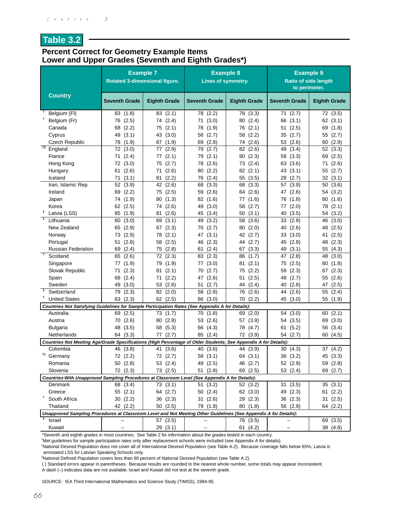### **Table 3.2**

#### **Percent Correct for Geometry Example Items Lower and Upper Grades (Seventh and Eighth Grades\*)**

|                                                                                                                  | <b>Example 7</b>                                                                                 | <b>Rotated 3-dimensional figure.</b> | <b>Example 8</b><br>Lines of symmetry. |                         | <b>Example 9</b><br><b>Ratio of side length</b><br>to perimeter. |                            |
|------------------------------------------------------------------------------------------------------------------|--------------------------------------------------------------------------------------------------|--------------------------------------|----------------------------------------|-------------------------|------------------------------------------------------------------|----------------------------|
| <b>Country</b>                                                                                                   | <b>Seventh Grade</b>                                                                             | <b>Eighth Grade</b>                  | <b>Seventh Grade</b>                   | <b>Eighth Grade</b>     | <b>Seventh Grade</b>                                             | <b>Eighth Grade</b>        |
| Belgium (FI)                                                                                                     | 83 (1.8)                                                                                         | 83 (2.1)                             | 78 (2.2)                               | 78 (3.3)                | 71(2.7)                                                          | 72 (3.5)                   |
| t<br>Belgium (Fr)                                                                                                | 76 (2.5)                                                                                         | 74 (2.4)                             | (3.0)<br>71                            | 80 (2.4)                | (3.1)<br>66                                                      | 62 (3.1)                   |
| Canada                                                                                                           | (2.2)<br>68                                                                                      | 75 (2.1)                             | 78 (1.9)                               | 76 (2.1)                | 51<br>(2.5)                                                      | 69<br>(1.8)                |
| Cyprus                                                                                                           | (3.1)<br>49                                                                                      | 43 (3.0)                             | 56 (2.7)                               | 58 (2.2)                | 35<br>(2.7)                                                      | (2.7)<br>55                |
| <b>Czech Republic</b>                                                                                            | 78<br>(1.9)                                                                                      | 87 (1.9)                             | 69<br>(2.8)                            | (2.6)<br>74             | 53<br>(2.6)                                                      | (2.9)<br>60                |
| $+2$<br>England                                                                                                  | 72<br>(3.0)                                                                                      | 77<br>(2.9)                          | 79<br>(2.7)                            | 82<br>(2.6)             | (3.4)<br>49                                                      | 52<br>(3.3)                |
| France                                                                                                           | 71 (2.4)                                                                                         | 77 (2.1)                             | 79 (2.1)                               | 80 (2.3)                | (3.3)<br>58                                                      | 69<br>(2.5)                |
| Hong Kong                                                                                                        | 72 (3.0)                                                                                         | 75 (2.7)                             | 78 (2.6)                               | 73 (2.4)                | (3.6)<br>63                                                      | (2.6)<br>71                |
| Hungary                                                                                                          | (2.6)<br>61                                                                                      | (2.6)<br>71                          | (2.2)<br>80                            | 82(2.1)                 | 43<br>(3.1)                                                      | 55<br>(2.7)                |
| Iceland                                                                                                          | (3.1)<br>71                                                                                      | (2.2)<br>81                          | (2.4)<br>76                            | (3.5)<br>55             | (2.7)<br>28                                                      | 32<br>(3.1)                |
| Iran, Islamic Rep.                                                                                               | 52<br>(3.9)                                                                                      | (2.6)<br>42                          | (3.3)<br>68                            | 68<br>(3.3)             | (3.9)<br>57                                                      | (3.6)<br>50                |
| Ireland                                                                                                          | 69<br>(2.2)                                                                                      | 75 (2.5)                             | 59 (2.6)                               | 64 (2.6)                | 47<br>(2.6)                                                      | 54<br>(3.2)                |
| Japan<br>Korea                                                                                                   | (1.9)<br>74                                                                                      | 80<br>(1.3)                          | 82 (1.6)<br>49<br>(3.0)                | (1.6)<br>77<br>58 (2.7) | (1.8)<br>76<br>(2.0)<br>77                                       | (1.6)<br>80<br>(2.1)<br>78 |
| $\mathbf{1}$<br>Latvia (LSS)                                                                                     | 62 (2.5)<br>85 (1.9)                                                                             | 74 (2.6)<br>(2.6)<br>81              | 45 (3.4)                               | (3.1)<br>50             | (3.5)<br>40                                                      | (3.2)<br>54                |
| $\overline{\mathbf{1}}$<br>Lithuania                                                                             | 60<br>(3.0)                                                                                      | 69<br>(3.1)                          | 49 (3.2)                               | 58 (3.6)                | 33(2.8)                                                          | (3.0)<br>46                |
| New Zealand                                                                                                      | (2.9)<br>65                                                                                      | (2.3)<br>67                          | 70(2.7)                                | (2.0)<br>80             | (2.6)<br>40                                                      | (2.5)<br>48                |
| Norway                                                                                                           | 73<br>(2.9)                                                                                      | (2.1)<br>78                          | 47<br>(3.1)                            | 42 (2.7)                | 33<br>(3.0)                                                      | (2.5)<br>41                |
| Portugal                                                                                                         | 51<br>(2.8)                                                                                      | 58<br>(2.5)                          | 46 (2.3)                               | 44 (2.7)                | (2.8)<br>45                                                      | (2.3)<br>48                |
| <b>Russian Federation</b>                                                                                        | (2.4)<br>69                                                                                      | (2.8)<br>75                          | (2.4)<br>61                            | 67(3.3)                 | (3.1)<br>49                                                      | 55<br>(4.3)                |
| $\ddot{\phantom{1}}$<br>Scotland                                                                                 | 65<br>(2.6)                                                                                      | 72<br>(2.3)                          | 83 (2.3)                               | 86<br>(1.7)             | (2.8)<br>47                                                      | 48<br>(3.0)                |
| Singapore                                                                                                        | 77<br>(1.9)                                                                                      | (1.9)<br>79                          | (3.0)<br>77                            | (2.1)<br>81             | (2.5)<br>75                                                      | 80<br>(1.8)                |
| Slovak Republic                                                                                                  | (2.3)<br>71                                                                                      | (2.1)<br>81                          | (2.7)<br>70                            | (2.2)<br>75             | (2.3)<br>59                                                      | (2.3)<br>67                |
| Spain                                                                                                            | (2.4)<br>68                                                                                      | (2.2)<br>71                          | 47<br>(2.6)                            | (2.5)<br>51             | 48<br>(2.7)                                                      | 55<br>(2.6)                |
| Sweden                                                                                                           | (3.0)<br>49                                                                                      | 53<br>(2.6)                          | (2.7)<br>51                            | 44<br>(2.4)             | 40<br>(2.8)                                                      | 47<br>(2.5)                |
| $\overline{\phantom{1}}$<br>Switzerland                                                                          | 79<br>(2.3)                                                                                      | 82<br>(2.0)                          | 58<br>(2.8)                            | 76 (2.6)                | (2.6)<br>44                                                      | (2.4)<br>55                |
| Ť<br><b>United States</b>                                                                                        | 63<br>(2.3)                                                                                      | 62 (2.5)                             | 66 (3.0)                               | 70 (2.2)                | 45<br>(3.0)                                                      | 55<br>(1.9)                |
|                                                                                                                  | Countries Not Satisfying Guidelines for Sample Participation Rates (See Appendix A for Details): |                                      |                                        |                         |                                                                  |                            |
| Australia                                                                                                        | (2.5)<br>69                                                                                      | 73 (1.7)                             | 70(1.8)                                | 69 (2.0)                | (3.0)<br>54                                                      | (2.1)<br>60                |
| Austria                                                                                                          | 70 (2.6)                                                                                         | 80 (2.8)                             | 53 (2.6)                               | 57 (3.9)                | 54 (3.5)                                                         | 69<br>(3.0)                |
| <b>Bulgaria</b>                                                                                                  | 48<br>(3.5)                                                                                      | 58 (5.3)                             | 66 (4.3)                               | 78 (4.7)                | (5.2)<br>61                                                      | 56<br>(3.4)                |
| Netherlands                                                                                                      | 64 (3.3)                                                                                         | (2.7)<br>77                          | 85 (2.4)                               | 72 (3.9)                | 54 (2.7)                                                         | 60<br>(4.5)                |
| Countries Not Meeting Age/Grade Specifications (High Percentage of Older Students; See Appendix A for Details):  |                                                                                                  |                                      |                                        |                         |                                                                  |                            |
| Colombia                                                                                                         | 46 (3.8)                                                                                         | 41 (3.6)                             | 40 (3.6)                               | 44 (3.9)                | 30(4.3)                                                          | 37 (4.2)                   |
| <sup>†1</sup> Germany                                                                                            | 72 (2.2)                                                                                         | 72 (2.7)                             | 58 (3.1)                               | 64 (3.1)                | 36 (3.2)                                                         | 45 (3.3)                   |
| Romania                                                                                                          | 50 (2.8)                                                                                         | 53 (2.4)                             | 49 (2.5)                               | 46 (2.7)                | 52 (2.9)                                                         | 59 (2.8)                   |
| Slovenia                                                                                                         | 72 (2.3)                                                                                         | 73 (2.5)                             | 51(2.8)                                | 69 (2.5)                | 53(2.4)                                                          | 69 (2.7)                   |
| Countries With Unapproved Sampling Procedures at Classroom Level (See Appendix A for Details):<br>Denmark        | 68 (3.4)                                                                                         | 73(3.1)                              | 51(3.2)                                | 52 (3.2)                | 31(3.5)                                                          | 35(3.1)                    |
| Greece                                                                                                           | 55(2.1)                                                                                          | 64 (2.7)                             | 50(2.4)                                | 62 (3.0)                | 49 (2.3)                                                         | 61(2.2)                    |
| t<br>South Africa                                                                                                | 30(2.2)                                                                                          | 36(2.3)                              | 31(2.6)                                | 29 (2.3)                | 36(2.3)                                                          | 31(2.5)                    |
| Thailand                                                                                                         | 42 (2.2)                                                                                         | 50(2.5)                              | 79 (1.8)                               | 80 (1.8)                | 56 (2.9)                                                         | 64 (2.2)                   |
| Unapproved Sampling Procedures at Classroom Level and Not Meeting Other Guidelines (See Appendix A for Details): |                                                                                                  |                                      |                                        |                         |                                                                  |                            |
| Israel                                                                                                           |                                                                                                  | 57 (3.5)                             |                                        | 76 (3.5)                |                                                                  | 69 (3.5)                   |
| Kuwait                                                                                                           |                                                                                                  | 29 (3.1)                             |                                        | 61 (4.2)                |                                                                  | 38 (4.8)                   |

\*Seventh and eighth grades in most countries; See Table 2 for information about the grades tested in each country.

† Met guidelines for sample participation rates only after replacement schools were included (see Appendix A for details).

1 National Desired Population does not cover all of International Desired Population (see Table A.2). Because coverage falls below 65%, Latvia is annotated LSS for Latvian Speaking Schools only.

2 National Defined Population covers less than 90 percent of National Desired Population (see Table A.2).

( ) Standard errors appear in parentheses. Because results are rounded to the nearest whole number, some totals may appear inconsistent.

A dash (–) indicates data are not available. Israel and Kuwait did not test at the seventh grade.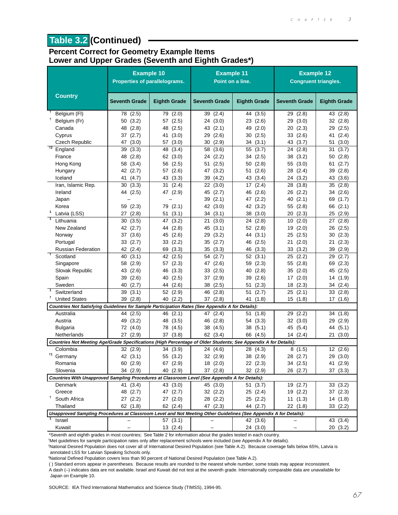# **Table 3.2 (Continued)**

#### **Percent Correct for Geometry Example Items Lower and Upper Grades (Seventh and Eighth Grades\*)**

|                                                                                                                  | <b>Example 10</b><br>Properties of parallelograms. |                         | <b>Example 11</b><br>Point on a line. |                            | <b>Example 12</b><br><b>Congruent triangles.</b> |                            |
|------------------------------------------------------------------------------------------------------------------|----------------------------------------------------|-------------------------|---------------------------------------|----------------------------|--------------------------------------------------|----------------------------|
| <b>Country</b>                                                                                                   | <b>Seventh Grade</b>                               | <b>Eighth Grade</b>     | <b>Seventh Grade</b>                  | <b>Eighth Grade</b>        | <b>Seventh Grade</b>                             | <b>Eighth Grade</b>        |
| Belgium (FI)                                                                                                     | 78 (2.5)                                           | 79 (2.0)                | 39<br>(2.4)                           | 44 (3.5)                   | 29<br>(2.8)                                      | 43 (2.8)                   |
| t<br>Belgium (Fr)                                                                                                | 50(3.2)                                            | 57 (2.5)                | 24 (3.0)                              | 23 (2.6)                   | 29<br>(3.0)                                      | 32<br>(2.8)                |
| Canada                                                                                                           | 48 (2.8)                                           | 48 (2.5)                | 43<br>(2.1)                           | (2.0)<br>49                | 20<br>(2.3)                                      | 29<br>(2.5)                |
| Cyprus                                                                                                           | 37(2.7)                                            | 41<br>(3.0)             | (2.6)<br>29                           | (2.5)<br>30                | 33<br>(2.6)                                      | 41<br>(2.4)                |
| <b>Czech Republic</b>                                                                                            | 47 (3.0)                                           | 57 (3.0)                | 30<br>(2.9)                           | 34(3.1)                    | 43 (3.7)                                         | (3.0)<br>51                |
| $\overline{12}$<br>England                                                                                       | 39<br>(3.3)                                        | 48<br>(3.4)             | 58<br>(3.6)                           | (3.7)<br>55                | 24<br>(2.8)                                      | 31<br>(3.7)                |
| France                                                                                                           | 48 (2.8)                                           | 62 (3.0)                | 24<br>(2.2)                           | 34 (2.5)                   | 38<br>(3.2)                                      | 50<br>(2.8)                |
| Hong Kong                                                                                                        | 58 (3.4)                                           | 56 (2.5)                | 51<br>(2.5)                           | (2.8)<br>50                | 55<br>(3.0)                                      | 61<br>(2.7)                |
| Hungary                                                                                                          | 42 (2.7)                                           | 57 (2.6)                | (3.2)<br>47                           | (2.6)<br>51                | (2.4)<br>28                                      | (2.8)<br>39                |
| Iceland                                                                                                          | 41 (4.7)                                           | 43 (3.3)                | (4.2)<br>39                           | 43 (3.4)                   | (3.2)<br>24                                      | (3.6)<br>43                |
| Iran, Islamic Rep.                                                                                               | 30(3.3)                                            | 31(2.4)                 | 22 (3.0)                              | (2.4)<br>17                | 28 (3.8)                                         | (2.8)<br>35                |
| Ireland                                                                                                          | 44 (2.5)                                           | 47 (2.9)                | 45<br>(2.7)                           | (2.6)<br>46                | (2.2)<br>26                                      | (2.6)<br>34                |
| Japan                                                                                                            |                                                    |                         | 39<br>(2.1)                           | (2.2)<br>47                | (2.1)<br>40                                      | 69<br>(1.7)                |
| Korea<br>$\mathbf 1$                                                                                             | (2.3)<br>59                                        | 79 (2.1)                | 42<br>(3.0)                           | 42<br>(3.2)                | 55<br>(2.8)                                      | (2.1)<br>66                |
| Latvia (LSS)                                                                                                     | 27(2.8)                                            | (3.1)<br>51             | (3.1)<br>34                           | (3.0)<br>38                | (2.3)<br>20                                      | 25<br>(2.9)                |
| Lithuania                                                                                                        | 30(3.5)                                            | (3.2)<br>47             | (3.0)<br>21                           | (2.8)<br>24                | 10(2.0)                                          | 27(2.8)                    |
| New Zealand                                                                                                      | 42 (2.7)                                           | 44 (2.8)                | 45<br>(3.1)                           | 52 (2.8)                   | 19<br>(2.0)                                      | 26<br>(2.5)                |
| Norway                                                                                                           | 37 (3.6)                                           | 45<br>(2.6)             | 29<br>(3.2)                           | 44<br>(3.1)                | 25<br>(2.5)                                      | 30<br>(2.3)                |
| Portugal<br><b>Russian Federation</b>                                                                            | 33(2.7)                                            | 33(2.2)                 | 35<br>(2.7)                           | 46<br>(2.5)                | (2.0)<br>21                                      | (2.3)<br>21                |
| $\ddot{\phantom{1}}$<br>Scotland                                                                                 | 42 (2.4)<br>40 (3.1)                               | 69<br>(3.3)<br>42 (2.5) | 35<br>(3.3)<br>(2.7)<br>54            | (3.3)<br>46<br>52<br>(3.1) | (3.2)<br>33<br>25<br>(2.2)                       | 39<br>(2.9)<br>29<br>(2.7) |
| Singapore                                                                                                        | 58 (2.9)                                           | 57 (2.3)                | (2.6)<br>47                           | (2.3)<br>59                | (2.8)<br>55                                      | (2.3)<br>69                |
| Slovak Republic                                                                                                  | 43 (2.6)                                           | (3.3)<br>46             | (2.5)<br>33                           | (2.8)<br>40                | (2.0)<br>35                                      | 45<br>(2.5)                |
| Spain                                                                                                            | (2.6)<br>39                                        | (2.5)<br>40             | 37<br>(2.9)                           | (2.6)<br>39                | (2.0)<br>17                                      | 14<br>(1.9)                |
| Sweden                                                                                                           | 40 (2.7)                                           | (2.6)<br>44             | 38<br>(2.5)                           | (2.3)<br>51                | 18<br>(2.3)                                      | 34 (2.4)                   |
| $\overline{\phantom{1}}$<br>Switzerland                                                                          | (3.1)<br>39                                        | 52 (2.9)                | 46<br>(2.8)                           | 51<br>(2.7)                | 25<br>(2.1)                                      | 33<br>(2.8)                |
| Ť<br><b>United States</b>                                                                                        | (2.8)<br>39                                        | (2.2)<br>40             | (2.8)<br>37                           | 41<br>(1.8)                | 15<br>(1.8)                                      | 17<br>(1.6)                |
| Countries Not Satisfying Guidelines for Sample Participation Rates (See Appendix A for Details):                 |                                                    |                         |                                       |                            |                                                  |                            |
| Australia                                                                                                        | 44 (2.5)                                           | 46 (2.1)                | (2.4)<br>47                           | (1.8)<br>51                | (2.2)<br>29                                      | 34 (1.8)                   |
| Austria                                                                                                          | 49 (3.2)                                           | 48<br>(3.5)             | (2.8)<br>46                           | 54 (3.3)                   | 32 (3.0)                                         | 29<br>(2.9)                |
| <b>Bulgaria</b>                                                                                                  | 72 (4.0)                                           | 78 (4.5)                | 38<br>(4.5)                           | 38<br>(5.1)                | 45 (5.4)                                         | 44 (5.1)                   |
| Netherlands                                                                                                      | 27 (2.9)                                           | 37(3.8)                 | 62 (3.4)                              | 66 (4.5)                   | 14 (2.4)                                         | 21(3.0)                    |
| Countries Not Meeting Age/Grade Specifications (High Percentage of Older Students; See Appendix A for Details):  |                                                    |                         |                                       |                            |                                                  |                            |
| Colombia                                                                                                         | 32(2.9)                                            | 34 (3.9)                | 24 (4.6)                              | 28 (4.3)                   | 8(1.5)                                           | 12(2.6)                    |
| $†1$ Germany                                                                                                     | 42 (3.1)                                           | 55 (3.2)                | 32 (2.9)                              | 38 (2.9)                   | 28 (2.7)                                         | 29 (3.0)                   |
| Romania                                                                                                          | 60 (2.9)                                           | 67 (2.9)                | 18(2.0)                               | 22(2.3)                    | 34 (2.5)                                         | 41 (2.9)                   |
| Slovenia                                                                                                         | 34(2.9)                                            | 40 (2.9)                | 37(2.8)                               | 32 (2.9)                   | 26 (2.7)                                         | 37 (3.3)                   |
| Countries With Unapproved Sampling Procedures at Classroom Level (See Appendix A for Details):                   |                                                    |                         |                                       |                            |                                                  |                            |
| Denmark                                                                                                          | 41 (3.4)                                           | 43 (3.0)                | 45 (3.0)                              | 51(3.7)                    | 19 (2.7)                                         | 33(3.2)                    |
| Greece                                                                                                           | 48 (2.7)                                           | 47 (2.7)                | 32 (2.2)                              | 25 (2.4)                   | 19 (2.2)                                         | 37 (2.3)                   |
| Ť.<br>South Africa                                                                                               | 27(2.2)                                            | 27(2.0)                 | 28 (2.2)                              | 25 (2.2)                   | 11(1.3)                                          | 14 (1.8)                   |
| Thailand                                                                                                         | 62 (1.8)                                           | 62 (2.4)                | 47 (2.3)                              | 44 (2.7)                   | 22(1.8)                                          | 33(2.2)                    |
| Unapproved Sampling Procedures at Classroom Level and Not Meeting Other Guidelines (See Appendix A for Details): |                                                    |                         |                                       |                            |                                                  |                            |
| Israel                                                                                                           |                                                    | 57(3.1)                 |                                       | 42 (3.6)                   |                                                  | 43 (3.4)                   |
| Kuwait                                                                                                           |                                                    | 13(2.4)                 |                                       | 24 (3.0)                   |                                                  | 20(3.2)                    |

\*Seventh and eighth grades in most countries; See Table 2 for information about the grades tested in each country.

† Met guidelines for sample participation rates only after replacement schools were included (see Appendix A for details).

1 National Desired Population does not cover all of International Desired Population (see Table A.2). Because coverage falls below 65%, Latvia is annotated LSS for Latvian Speaking Schools only.

2 National Defined Population covers less than 90 percent of National Desired Population (see Table A.2).

( ) Standard errors appear in parentheses. Because results are rounded to the nearest whole number, some totals may appear inconsistent.

A dash (–) indicates data are not available. Israel and Kuwait did not test at the seventh grade. Internationally comparable data are unavailable for Japan on Example 10.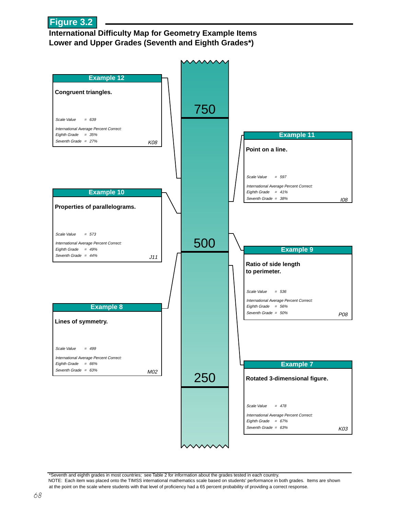

#### **International Difficulty Map for Geometry Example Items Lower and Upper Grades (Seventh and Eighth Grades\*)**



\*Seventh and eighth grades in most countries; see Table 2 for information about the grades tested in each country. NOTE: Each item was placed onto the TIMSS international mathematics scale based on students' performance in both grades. Items are shown at the point on the scale where students with that level of proficiency had a 65 percent probability of providing a correct response.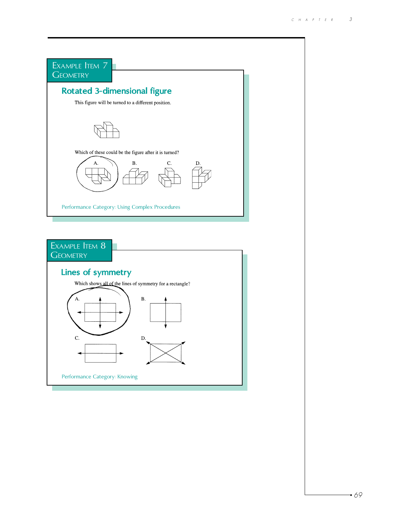

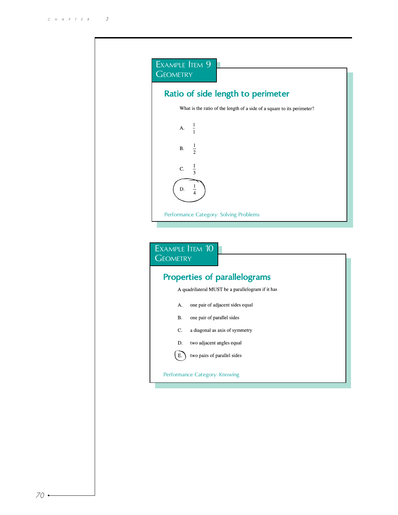| <b>GEOMETRY</b> |                                                                         |
|-----------------|-------------------------------------------------------------------------|
|                 | Ratio of side length to perimeter                                       |
|                 | What is the ratio of the length of a side of a square to its perimeter? |
|                 | $\frac{1}{1}$<br>$A -$                                                  |
| В.              | $\frac{1}{2}$                                                           |
| C.              | $\frac{1}{3}$                                                           |
| D.              | $\overline{1}$                                                          |
|                 | Performance Category: Solving Problems                                  |
| <b>GEOMETRY</b> | EXAMPLE ITEM 10<br><b>Properties of parallelograms</b>                  |
|                 | A quadrilateral MUST be a parallelogram if it has                       |
| А.              | one pair of adjacent sides equal                                        |
| В.              | one pair of parallel sides                                              |
| C.              | a diagonal as axis of symmetry                                          |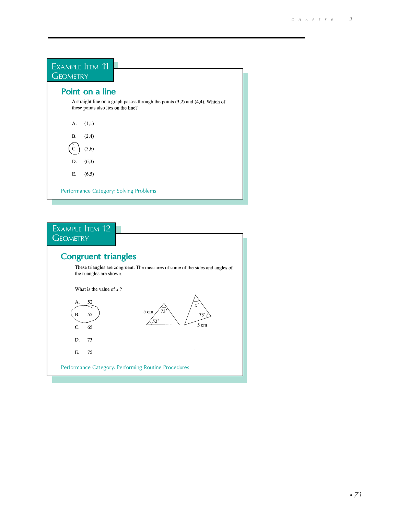| EXAMPLE ITEM 11<br><b>GEOMETRY</b>                                                                                         |  |
|----------------------------------------------------------------------------------------------------------------------------|--|
| Point on a line                                                                                                            |  |
| A straight line on a graph passes through the points $(3,2)$ and $(4,4)$ . Which of<br>these points also lies on the line? |  |
| (1,1)<br>А.                                                                                                                |  |
| (2,4)<br>В.                                                                                                                |  |
| (5,6)                                                                                                                      |  |
| (6,3)<br>D.                                                                                                                |  |
| (6,5)<br>Е.                                                                                                                |  |
| Performance Category: Solving Problems                                                                                     |  |

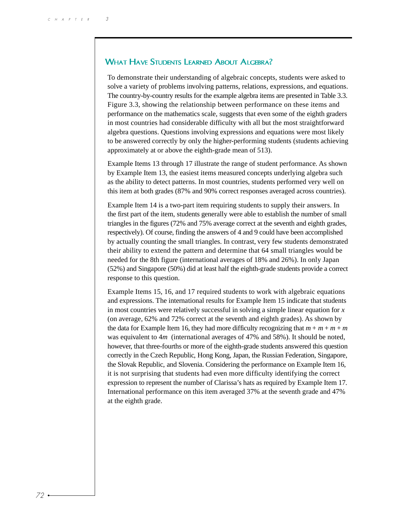#### WHAT HAVE STUDENTS LEARNED ABOUT ALGEBRA?

To demonstrate their understanding of algebraic concepts, students were asked to solve a variety of problems involving patterns, relations, expressions, and equations. The country-by-country results for the example algebra items are presented in Table 3.3. Figure 3.3, showing the relationship between performance on these items and performance on the mathematics scale, suggests that even some of the eighth graders in most countries had considerable difficulty with all but the most straightforward algebra questions. Questions involving expressions and equations were most likely to be answered correctly by only the higher-performing students (students achieving approximately at or above the eighth-grade mean of 513).

Example Items 13 through 17 illustrate the range of student performance. As shown by Example Item 13, the easiest items measured concepts underlying algebra such as the ability to detect patterns. In most countries, students performed very well on this item at both grades (87% and 90% correct responses averaged across countries).

Example Item 14 is a two-part item requiring students to supply their answers. In the first part of the item, students generally were able to establish the number of small triangles in the figures (72% and 75% average correct at the seventh and eighth grades, respectively). Of course, finding the answers of 4 and 9 could have been accomplished by actually counting the small triangles. In contrast, very few students demonstrated their ability to extend the pattern and determine that 64 small triangles would be needed for the 8th figure (international averages of 18% and 26%). In only Japan (52%) and Singapore (50%) did at least half the eighth-grade students provide a correct response to this question.

Example Items 15, 16, and 17 required students to work with algebraic equations and expressions. The international results for Example Item 15 indicate that students in most countries were relatively successful in solving a simple linear equation for *x* (on average, 62% and 72% correct at the seventh and eighth grades). As shown by the data for Example Item 16, they had more difficulty recognizing that  $m + m + m + m$ was equivalent to 4*m* (international averages of 47% and 58%). It should be noted, however, that three-fourths or more of the eighth-grade students answered this question correctly in the Czech Republic, Hong Kong, Japan, the Russian Federation, Singapore, the Slovak Republic, and Slovenia. Considering the performance on Example Item 16, it is not surprising that students had even more difficulty identifying the correct expression to represent the number of Clarissa's hats as required by Example Item 17. International performance on this item averaged 37% at the seventh grade and 47% at the eighth grade.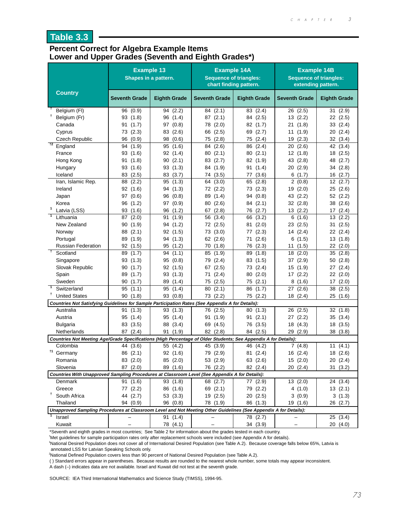# **Table 3.3**

#### **Percent Correct for Algebra Example Items Lower and Upper Grades (Seventh and Eighth Grades\*)**

|                                                                                                                  | <b>Example 13</b><br>Shapes in a pattern. |                            | <b>Example 14A</b><br><b>Sequence of triangles:</b><br>chart finding pattern. |                            | <b>Example 14B</b><br><b>Sequence of triangles:</b><br>extending pattern. |                            |
|------------------------------------------------------------------------------------------------------------------|-------------------------------------------|----------------------------|-------------------------------------------------------------------------------|----------------------------|---------------------------------------------------------------------------|----------------------------|
| <b>Country</b>                                                                                                   | <b>Seventh Grade</b>                      | <b>Eighth Grade</b>        | <b>Seventh Grade</b>                                                          | <b>Eighth Grade</b>        | <b>Seventh Grade</b>                                                      | <b>Eighth Grade</b>        |
| Belgium (FI)                                                                                                     | 96 (0.9)                                  | 94 (2.2)                   | 84 (2.1)                                                                      | 83 (2.4)                   | 26 (2.5)                                                                  | 31(2.9)                    |
| Ť<br>Belgium (Fr)                                                                                                | 93(1.8)                                   | 96<br>(1.4)                | 87(2.1)                                                                       | 84 (2.5)                   | 13 (2.2)                                                                  | 22<br>(2.5)                |
| Canada                                                                                                           | 91<br>(1.7)                               | 97 (0.8)                   | 78<br>(2.0)                                                                   | 82<br>(1.7)                | 21<br>(1.8)                                                               | 33<br>(2.4)                |
| Cyprus                                                                                                           | 73 (2.3)                                  | 83 (2.6)                   | (2.5)<br>66                                                                   | (2.7)<br>69                | (1.9)<br>11                                                               | (2.4)<br>20                |
| Czech Republic<br>$+2$                                                                                           | (0.9)<br>96                               | (0.6)<br>98                | (2.8)<br>75                                                                   | (2.4)<br>75                | (2.3)<br>19                                                               | 32<br>(3.4)                |
| England                                                                                                          | (1.9)<br>94                               | 95<br>(1.6)                | (2.6)<br>84                                                                   | (2.4)<br>86                | (2.6)<br>20                                                               | 42<br>(3.4)                |
| France                                                                                                           | 93 (1.6)                                  | 92 (1.4)                   | 80<br>(2.1)                                                                   | 80<br>(2.1)                | 12 (1.8)                                                                  | (2.5)<br>18                |
| Hong Kong                                                                                                        | 91(1.8)                                   | 90(2.1)                    | 83 (2.7)                                                                      | 82 (1.9)                   | 43 (2.8)                                                                  | 48<br>(2.7)                |
| Hungary                                                                                                          | 93 (1.6)                                  | 93 (1.3)                   | (1.9)<br>84                                                                   | 91<br>(1.4)                | (2.9)<br>20                                                               | 34 (2.8)                   |
| Iceland                                                                                                          | 83 (2.5)                                  | 83 (3.7)                   | 74 (3.5)                                                                      | (3.6)<br>77                | 6(1.7)                                                                    | 16(2.7)                    |
| Iran, Islamic Rep.<br>Ireland                                                                                    | (2.2)<br>88<br>92 (1.6)                   | (1.3)<br>95<br>(1.3)<br>94 | (3.0)<br>64<br>(2.2)                                                          | (2.8)<br>65<br>73<br>(2.3) | $\overline{2}$<br>(0.8)<br>19<br>(2.0)                                    | 12<br>(2.7)<br>25<br>(2.6) |
|                                                                                                                  | 97 (0.6)                                  | (0.8)<br>96                | 72<br>89<br>(1.4)                                                             | (0.8)<br>94                | (2.2)<br>43                                                               | 52<br>(2.2)                |
| Japan<br>Korea                                                                                                   | 96 (1.2)                                  | 97 (0.9)                   | (2.6)<br>80                                                                   | (2.1)<br>84                | 32 (2.8)                                                                  | 38<br>(2.6)                |
| $\mathbf{1}$<br>Latvia (LSS)                                                                                     | 93 (1.6)                                  | 96<br>(1.2)                | (2.8)<br>67                                                                   | (2.7)<br>76                | 13 (2.2)                                                                  | (2.4)<br>17                |
| $\overline{1}$<br>Lithuania                                                                                      | 87 (2.0)                                  | 91 (1.9)                   | 56 (3.4)                                                                      | 66 (3.2)                   | 6<br>(1.6)                                                                | 13<br>(2.2)                |
| New Zealand                                                                                                      | 90(1.9)                                   | 94 (1.2)                   | 72 (2.5)                                                                      | (2.0)<br>81                | 23<br>(2.5)                                                               | (2.5)<br>31                |
| Norway                                                                                                           | 88<br>(2.1)                               | 92 (1.5)                   | 73<br>(3.0)                                                                   | 77<br>(2.3)                | 14 (2.4)                                                                  | 22<br>(2.4)                |
| Portugal                                                                                                         | 89<br>(1.9)                               | 94 (1.3)                   | 62 (2.6)                                                                      | (2.6)<br>71                | (1.5)<br>6                                                                | (1.8)<br>13                |
| <b>Russian Federation</b>                                                                                        | 92(1.5)                                   | (1.2)<br>95                | 70 (1.8)                                                                      | (2.3)<br>76                | (1.5)<br>11                                                               | 22<br>(2.0)                |
| Ŧ<br>Scotland                                                                                                    | (1.7)<br>89                               | 94(1.1)                    | (1.9)<br>85                                                                   | (1.8)<br>89                | (2.0)<br>18                                                               | (2.8)<br>35                |
| Singapore                                                                                                        | 93 (1.3)                                  | (0.8)<br>95                | (2.4)<br>79                                                                   | (1.5)<br>83                | (2.9)<br>37                                                               | (2.8)<br>50                |
| Slovak Republic                                                                                                  | 90<br>(1.7)                               | 92<br>(1.5)                | (2.5)<br>67                                                                   | (2.4)<br>73                | 15<br>(1.9)                                                               | (2.4)<br>27                |
| Spain                                                                                                            | (1.7)<br>89                               | 93<br>(1.3)                | (2.4)<br>71                                                                   | 80<br>(2.0)                | 17 (2.2)                                                                  | 22 (2.0)                   |
| Sweden                                                                                                           | 90<br>(1.7)                               | 89<br>(1.4)                | (2.5)<br>75                                                                   | (2.1)<br>75                | 8<br>(1.6)                                                                | (2.0)<br>17                |
| $\overline{1}$<br>Switzerland                                                                                    | 95<br>(1.1)                               | 95<br>(1.4)                | (2.1)<br>80                                                                   | (1.7)<br>86                | (2.6)<br>27                                                               | (2.5)<br>38                |
| Ť<br><b>United States</b>                                                                                        | 90<br>(1.8)                               | 93 (0.8)                   | 73 (2.2)                                                                      | 75<br>(2.2)                | 18(2.4)                                                                   | 25<br>(1.6)                |
| Countries Not Satisfying Guidelines for Sample Participation Rates (See Appendix A for Details):                 |                                           |                            |                                                                               |                            |                                                                           |                            |
| Australia                                                                                                        | 91 (1.3)                                  | 93(1.3)                    | 76 (2.5)                                                                      | (1.3)<br>80                | (2.5)<br>26                                                               | 32(1.8)                    |
| Austria                                                                                                          | 95<br>(1.4)                               | 95<br>(1.4)                | (1.9)<br>91                                                                   | (2.1)<br>91                | 27 (2.2)                                                                  | (3.4)<br>35                |
| <b>Bulgaria</b>                                                                                                  | 83 (3.5)                                  | 88<br>(3.4)                | (4.5)<br>69                                                                   | (3.5)<br>76                | 18 (4.3)                                                                  | (3.5)<br>18                |
| Netherlands                                                                                                      | 87 (2.4)                                  | (1.9)<br>91                | 82 (2.8)                                                                      | 84 (2.5)                   | 29<br>(2.9)                                                               | 38<br>(3.8)                |
| Countries Not Meeting Age/Grade Specifications (High Percentage of Older Students; See Appendix A for Details):  |                                           |                            |                                                                               |                            |                                                                           |                            |
| Colombia<br><sup>†1</sup> Germany                                                                                | 44 (3.6)                                  | 55 (4.2)                   | 45 (3.9)                                                                      | 46 (4.2)                   | 7(4.8)                                                                    | 11 $(4.1)$                 |
|                                                                                                                  | 86 (2.1)                                  | 92 (1.6)                   | 79 (2.9)                                                                      | 81 (2.4)                   | 16 (2.4)                                                                  | 18 (2.6)                   |
| Romania<br>Slovenia                                                                                              | 83 (2.0)<br>87 (2.0)                      | 85 (2.0)<br>89 (1.6)       | 53 (2.9)<br>76 (2.2)                                                          | 63 (2.6)<br>82 (2.4)       | 15 (2.0)<br>20(2.4)                                                       | 20 (2.4)<br>31(3.2)        |
| Countries With Unapproved Sampling Procedures at Classroom Level (See Appendix A for Details):                   |                                           |                            |                                                                               |                            |                                                                           |                            |
| Denmark                                                                                                          | 91(1.6)                                   | 93(1.8)                    | 68 (2.7)                                                                      | 77 (2.9)                   | 13(2.0)                                                                   | 24 (3.4)                   |
| Greece                                                                                                           | 77 (2.2)                                  | 86 (1.6)                   | 69 (2.1)                                                                      | 79 (2.2)                   | 4(1.0)                                                                    | 13(2.1)                    |
| T<br>South Africa                                                                                                | 44 (2.7)                                  | 53(3.3)                    | 19 (2.5)                                                                      | 20(2.5)                    | 3(0.9)                                                                    | 3(1.3)                     |
| Thailand                                                                                                         | 94 (0.9)                                  | 96 (0.8)                   | 78 (1.9)                                                                      | 86 (1.3)                   | 19 (1.6)                                                                  | 26 (2.7)                   |
| Unapproved Sampling Procedures at Classroom Level and Not Meeting Other Guidelines (See Appendix A for Details): |                                           |                            |                                                                               |                            |                                                                           |                            |
| Israel                                                                                                           |                                           | 91 (1.4)                   |                                                                               | 78 (2.7)                   |                                                                           | 25(3.4)                    |
| Kuwait                                                                                                           |                                           | 78 (4.1)                   |                                                                               | 34 (3.9)                   |                                                                           | 20(4.0)                    |

\*Seventh and eighth grades in most countries; See Table 2 for information about the grades tested in each country.

† Met guidelines for sample participation rates only after replacement schools were included (see Appendix A for details).

1 National Desired Population does not cover all of International Desired Population (see Table A.2). Because coverage falls below 65%, Latvia is annotated LSS for Latvian Speaking Schools only.

2 National Defined Population covers less than 90 percent of National Desired Population (see Table A.2).

( ) Standard errors appear in parentheses. Because results are rounded to the nearest whole number, some totals may appear inconsistent.

A dash (–) indicates data are not available. Israel and Kuwait did not test at the seventh grade.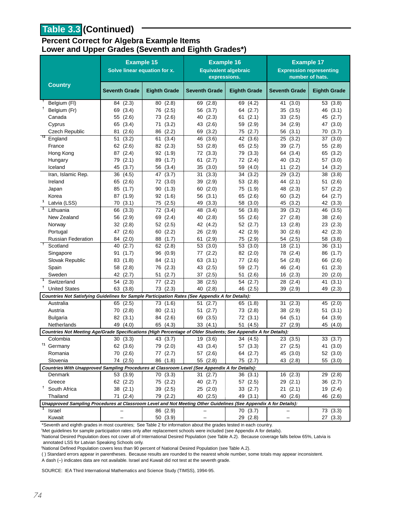# **Table 3.3 (Continued)**

#### **Percent Correct for Algebra Example Items Lower and Upper Grades (Seventh and Eighth Grades\*)**

|                                                                                                                  | <b>Example 15</b><br>Solve linear equation for x. |                      | <b>Example 16</b><br><b>Equivalent algebraic</b><br>expressions. |                     | <b>Example 17</b><br><b>Expression representing</b> | number of hats.     |
|------------------------------------------------------------------------------------------------------------------|---------------------------------------------------|----------------------|------------------------------------------------------------------|---------------------|-----------------------------------------------------|---------------------|
| <b>Country</b>                                                                                                   | <b>Seventh Grade</b>                              | <b>Eighth Grade</b>  | <b>Seventh Grade</b>                                             | <b>Eighth Grade</b> | <b>Seventh Grade</b>                                | <b>Eighth Grade</b> |
| Belgium (FI)                                                                                                     | 84 (2.3)                                          | 80(2.8)              | 69 (2.8)                                                         | 69 (4.2)            | 41 (3.0)                                            | 53 (3.8)            |
| Belgium (Fr)                                                                                                     | 69 (3.4)                                          | 76 (2.5)             | 56 (3.7)                                                         | 64 (2.7)            | 35(3.5)                                             | 46 (3.1)            |
| Canada                                                                                                           | (2.6)<br>55                                       | 73 (2.6)             | 40 (2.3)                                                         | (2.1)<br>61         | 33(2.5)                                             | 45 (2.7)            |
| Cyprus                                                                                                           | 65 (3.4)                                          | (3.2)<br>71          | 43 (2.6)                                                         | 59 (2.9)            | 34 (2.9)                                            | 47 (3.0)            |
| Czech Republic                                                                                                   | (2.6)<br>81                                       | 86 (2.2)             | (3.2)<br>69                                                      | 75 (2.7)            | 56 (3.1)                                            | (3.7)<br>70         |
| $^{+2}$<br>England                                                                                               | 51<br>(3.2)                                       | (3.4)<br>61          | (3.6)<br>46                                                      | 42 (3.6)            | 25<br>(3.2)                                         | 37<br>(3.0)         |
| France                                                                                                           | 62 (2.6)                                          | 82 (2.3)             | 53(2.8)                                                          | 65 (2.5)            | 39 (2.7)                                            | 55 (2.8)            |
| Hong Kong                                                                                                        | 87 (2.4)                                          | 92(1.9)              | 72 (3.3)                                                         | 79 (3.3)            | 64 (3.4)                                            | 65 (3.2)            |
| Hungary                                                                                                          | 79 (2.1)                                          | 89 (1.7)             | 61<br>(2.7)                                                      | 72 (2.4)            | 40 (3.2)                                            | 57<br>(3.0)         |
| Iceland                                                                                                          | 45<br>(3.7)                                       | 56 (3.4)             | 35<br>(3.0)                                                      | 59 (4.0)            | 11<br>(2.2)                                         | (3.2)<br>14         |
| Iran, Islamic Rep.                                                                                               | (4.5)<br>36                                       | 47<br>(3.7)          | (3.3)<br>31                                                      | 34<br>(3.2)         | (3.2)<br>29                                         | 38<br>(3.8)         |
| Ireland                                                                                                          | 65 (2.6)                                          | 72 (3.0)             | 39 (2.9)                                                         | 53 (2.8)            | 44 (2.1)                                            | 51<br>(2.6)         |
| Japan                                                                                                            | 85(1.7)                                           | 90(1.3)              | 60(2.0)                                                          | 75 (1.9)            | 48 (2.3)                                            | 57 (2.2)            |
| Korea<br>1                                                                                                       | 87 (1.9)                                          | 92(1.6)              | 56 (3.1)                                                         | 65 (2.6)            | 60 (3.2)                                            | 64<br>(2.7)         |
| Latvia (LSS)                                                                                                     | 70(3.1)                                           | 75 (2.5)             | 49 (3.3)                                                         | 58 (3.0)            | 45 (3.2)                                            | 42 (3.3)            |
| Lithuania                                                                                                        | 66 (3.3)                                          | 72 (3.4)<br>69 (2.4) | 48 (3.4)                                                         | 56 (3.8)            | 39 (3.2)                                            | 46 (3.5)            |
| New Zealand<br>Norway                                                                                            | 56 (2.9)<br>32(2.8)                               |                      | 40(2.8)                                                          | 55 (2.6)            | 27 (2.8)                                            | 38 (2.6)            |
|                                                                                                                  |                                                   | 52(2.5)              | 42 (4.2)                                                         | 52 (2.7)            | 13(2.8)                                             | 23(2.3)             |
| Portugal<br><b>Russian Federation</b>                                                                            | 47 (2.6)                                          | 60 (2.2)<br>88 (1.7) | 26 (2.9)                                                         | 42 (2.9)            | 30 (2.6)                                            | 42 (2.3)            |
| $^{+}$<br>Scotland                                                                                               | 84 (2.0)<br>(2.7)<br>40                           | 62(2.8)              | (2.9)<br>61<br>53(3.0)                                           | 75 (2.9)<br>53(3.0) | 54 (2.5)<br>18(2.1)                                 | 58 (3.8)<br>36(3.1) |
| Singapore                                                                                                        | (1.7)<br>91                                       | 96 (0.9)             | (2.2)<br>77                                                      | 82 (2.0)            | 78 (2.4)                                            | 86 (1.7)            |
| Slovak Republic                                                                                                  | 83 (1.8)                                          | 84 (2.1)             | 63(3.1)                                                          | (2.6)<br>77         | (2.8)<br>54                                         | (2.6)<br>66         |
| Spain                                                                                                            | 58<br>(2.8)                                       | 76 (2.3)             | 43 (2.5)                                                         | 59 (2.7)            | 46 (2.4)                                            | (2.3)<br>61         |
| Sweden                                                                                                           | 42 (2.7)                                          | 51<br>(2.7)          | (2.5)<br>37                                                      | (2.6)<br>51         | 16(2.3)                                             | 20(2.0)             |
| $\overline{1}$<br>Switzerland                                                                                    | 54<br>(2.3)                                       | (2.2)<br>77          | 38<br>(2.5)                                                      | (2.7)<br>54         | 28 (2.4)                                            | (3.1)<br>41         |
| Ť<br><b>United States</b>                                                                                        | 63(3.8)                                           | 73 (2.3)             | 40 (2.8)                                                         | 46 (2.5)            | 39 (2.9)                                            | (2.3)<br>49         |
| Countries Not Satisfying Guidelines for Sample Participation Rates (See Appendix A for Details):                 |                                                   |                      |                                                                  |                     |                                                     |                     |
| Australia                                                                                                        | 65 (2.5)                                          | 73 (1.6)             | (2.7)<br>51                                                      | 65 (1.8)            | 31<br>(2.3)                                         | 45<br>(2.0)         |
| Austria                                                                                                          | 70 (2.8)                                          | 80(2.1)              | (2.7)<br>51                                                      | 73 (2.8)            | 38 (2.9)                                            | (3.1)<br>51         |
| <b>Bulgaria</b>                                                                                                  | 82 (3.1)                                          | 84 (2.6)             | 69 (3.5)                                                         | 72(3.1)             | 64 (5.1)                                            | 64 (3.9)            |
| Netherlands                                                                                                      | 49 (4.0)                                          | 65 (4.3)             | 33(4.1)                                                          | 51 (4.5)            | 27(2.9)                                             | 45 (4.0)            |
| Countries Not Meeting Age/Grade Specifications (High Percentage of Older Students; See Appendix A for Details):  |                                                   |                      |                                                                  |                     |                                                     |                     |
| Colombia                                                                                                         | 30(3.3)                                           | 43 (3.7)             | 19 (3.6)                                                         | 34 (4.5)            | 23(3.5)                                             | 33(3.7)             |
| <sup>†1</sup> Germany                                                                                            | 62 (3.6)                                          | 79 (2.0)             | 43 (3.4)                                                         | 57 (3.3)            | 27 (2.5)                                            | 41 (3.0)            |
| Romania                                                                                                          | 70(2.6)                                           | 77 (2.7)             | 57 (2.6)                                                         | 64 (2.7)            | 45 (3.0)                                            | 52 (3.0)            |
| Slovenia                                                                                                         | 74 (2.5)                                          | 86 (1.8)             | 55 (2.8)                                                         | 75 (2.7)            | 43 (2.8)                                            | 55 (3.0)            |
| Countries With Unapproved Sampling Procedures at Classroom Level (See Appendix A for Details):                   |                                                   |                      |                                                                  |                     |                                                     |                     |
| Denmark                                                                                                          | 53(3.9)                                           | 70(3.3)              | 31(2.7)                                                          | 36(3.1)             | 16(2.3)                                             | 29 (2.8)            |
| Greece                                                                                                           | 62 (2.2)                                          | 75 (2.2)             | 40 (2.7)                                                         | 57 (2.5)            | 29(2.1)                                             | 36 (2.7)            |
| <sup>†</sup> South Africa                                                                                        | 38 (2.1)                                          | 39 (2.5)             | 25(2.0)                                                          | 33 (2.7)            | 21(2.1)                                             | 19 (2.4)            |
| Thailand                                                                                                         | 71 (2.4)                                          | 79 (2.2)             | 40(2.5)                                                          | 49 (3.1)            | 40 (2.6)                                            | 46 (2.6)            |
| Unapproved Sampling Procedures at Classroom Level and Not Meeting Other Guidelines (See Appendix A for Details): |                                                   |                      |                                                                  |                     |                                                     |                     |
| Israel                                                                                                           |                                                   | 86 (2.9)             |                                                                  | 70 (3.7)            |                                                     | 73 (3.3)            |
| Kuwait                                                                                                           |                                                   | 50 (3.9)             |                                                                  | 29 (2.8)            |                                                     | 27 (3.3)            |

\*Seventh and eighth grades in most countries; See Table 2 for information about the grades tested in each country.

† Met guidelines for sample participation rates only after replacement schools were included (see Appendix A for details).

1 National Desired Population does not cover all of International Desired Population (see Table A.2). Because coverage falls below 65%, Latvia is annotated LSS for Latvian Speaking Schools only.

2 National Defined Population covers less than 90 percent of National Desired Population (see Table A.2).

( ) Standard errors appear in parentheses. Because results are rounded to the nearest whole number, some totals may appear inconsistent.

A dash (–) indicates data are not available. Israel and Kuwait did not test at the seventh grade.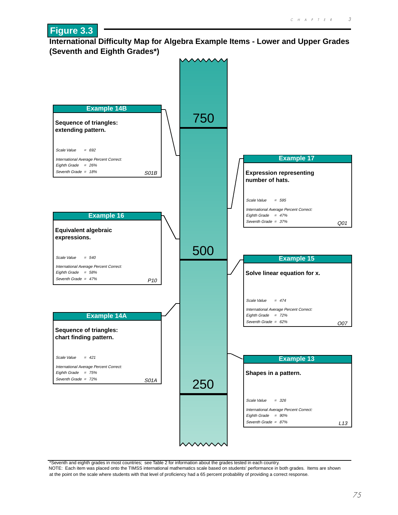#### **International Difficulty Map for Algebra Example Items - Lower and Upper Grades (Seventh and Eighth Grades\*)**

**Figure 3.3**



\*Seventh and eighth grades in most countries; see Table 2 for information about the grades tested in each country.

NOTE: Each item was placed onto the TIMSS international mathematics scale based on students' performance in both grades. Items are shown at the point on the scale where students with that level of proficiency had a 65 percent probability of providing a correct response.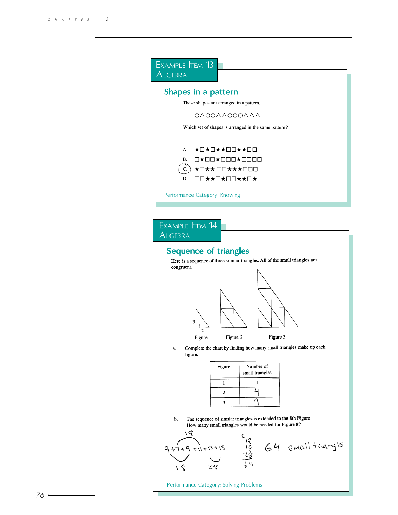| <b>ALGEBRA</b> | EXAMPLE TEM 13                                                                                                                                                                                    |
|----------------|---------------------------------------------------------------------------------------------------------------------------------------------------------------------------------------------------|
|                | Shapes in a pattern<br>These shapes are arranged in a pattern.                                                                                                                                    |
|                | ΟΔΟΟΔΔΟΟΟΔΔΔ                                                                                                                                                                                      |
|                | Which set of shapes is arranged in the same pattern?                                                                                                                                              |
|                | ★□★□★★□□★★□□<br>А.<br>$\Box\star\Box\Box\star\Box\Box\Box\star\Box\Box\Box\Box$<br>В.<br>$\overline{C}$ .<br>★□★★□□★★★□□□<br>D.<br>□□★★□★□□★★□★<br>Performance Category: Knowing                  |
|                |                                                                                                                                                                                                   |
| <b>ALGEBRA</b> | EXAMPLE ITEM 14                                                                                                                                                                                   |
|                | <b>Sequence of triangles</b><br>Here is a sequence of three similar triangles. All of the small triangles are<br>congruent.<br>3                                                                  |
| a.             | Figure 3<br>Figure 1<br>Figure 2<br>Complete the chart by finding how many small triangles make up each<br>figure.<br>Number of<br>Figure<br>small triangles<br>$\mathbf{1}$<br>$\mathbf{1}$<br>Ц |
| b.             | 2<br>q<br>3<br>The sequence of similar triangles is extended to the 8th Figure.<br>How many small triangles would be needed for Figure 8?<br>18                                                   |
|                | $\frac{1}{18}$ $\frac{18}{28}$ $64$ small triangls<br>$\frac{18}{64}$<br>9 + 7 + 9 + 1 + 1 3 + 1 5<br>Performance Category: Solving Problems                                                      |

 $76 -$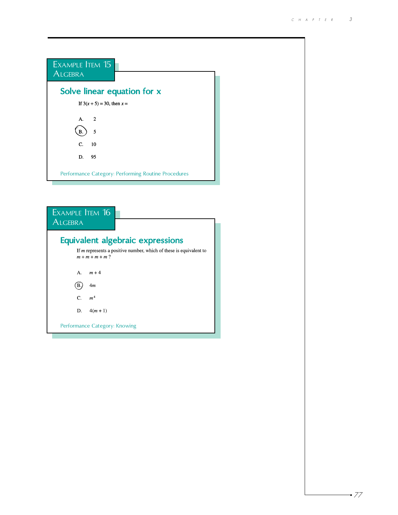

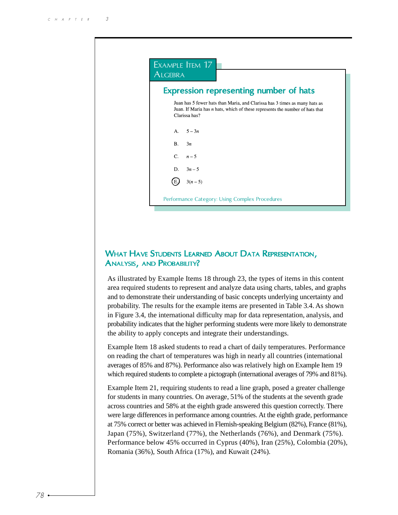| ALGEBRA        |                                                                                                                                                                               |
|----------------|-------------------------------------------------------------------------------------------------------------------------------------------------------------------------------|
|                | Expression representing number of hats                                                                                                                                        |
|                | Juan has 5 fewer hats than Maria, and Clarissa has 3 times as many hats as<br>Juan. If Maria has $n$ hats, which of these represents the number of hats that<br>Clarissa has? |
|                | A. $5-3n$                                                                                                                                                                     |
| B <sub>1</sub> | 3n                                                                                                                                                                            |
|                | $C.$ $n-5$                                                                                                                                                                    |
| D.             | $3n - 5$                                                                                                                                                                      |
|                | $3(n-5)$                                                                                                                                                                      |

# WHAT HAVE STUDENTS LEARNED ABOUT DATA REPRESENTATION, ANALYSIS, AND PROBABILITY?

As illustrated by Example Items 18 through 23, the types of items in this content area required students to represent and analyze data using charts, tables, and graphs and to demonstrate their understanding of basic concepts underlying uncertainty and probability. The results for the example items are presented in Table 3.4. As shown in Figure 3.4, the international difficulty map for data representation, analysis, and probability indicates that the higher performing students were more likely to demonstrate the ability to apply concepts and integrate their understandings.

Example Item 18 asked students to read a chart of daily temperatures. Performance on reading the chart of temperatures was high in nearly all countries (international averages of 85% and 87%). Performance also was relatively high on Example Item 19 which required students to complete a pictograph (international averages of 79% and 81%).

Example Item 21, requiring students to read a line graph, posed a greater challenge for students in many countries. On average, 51% of the students at the seventh grade across countries and 58% at the eighth grade answered this question correctly. There were large differences in performance among countries. At the eighth grade, performance at 75% correct or better was achieved in Flemish-speaking Belgium (82%), France (81%), Japan (75%), Switzerland (77%), the Netherlands (76%), and Denmark (75%). Performance below 45% occurred in Cyprus (40%), Iran (25%), Colombia (20%), Romania (36%), South Africa (17%), and Kuwait (24%).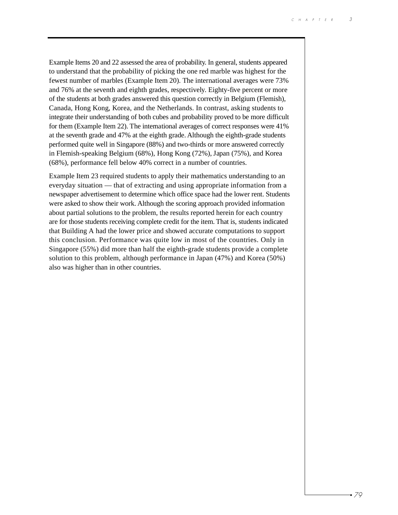Example Items 20 and 22 assessed the area of probability. In general, students appeared to understand that the probability of picking the one red marble was highest for the fewest number of marbles (Example Item 20). The international averages were 73% and 76% at the seventh and eighth grades, respectively. Eighty-five percent or more of the students at both grades answered this question correctly in Belgium (Flemish), Canada, Hong Kong, Korea, and the Netherlands. In contrast, asking students to integrate their understanding of both cubes and probability proved to be more difficult for them (Example Item 22). The international averages of correct responses were 41% at the seventh grade and 47% at the eighth grade. Although the eighth-grade students performed quite well in Singapore (88%) and two-thirds or more answered correctly in Flemish-speaking Belgium (68%), Hong Kong (72%), Japan (75%), and Korea (68%), performance fell below 40% correct in a number of countries.

Example Item 23 required students to apply their mathematics understanding to an everyday situation — that of extracting and using appropriate information from a newspaper advertisement to determine which office space had the lower rent. Students were asked to show their work. Although the scoring approach provided information about partial solutions to the problem, the results reported herein for each country are for those students receiving complete credit for the item. That is, students indicated that Building A had the lower price and showed accurate computations to support this conclusion. Performance was quite low in most of the countries. Only in Singapore (55%) did more than half the eighth-grade students provide a complete solution to this problem, although performance in Japan (47%) and Korea (50%) also was higher than in other countries.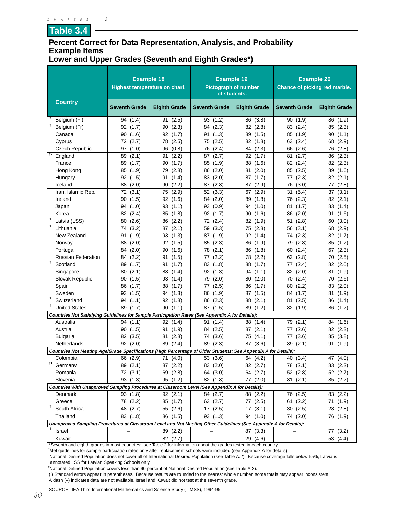**Table 3.4**

#### **Percent Correct for Data Representation, Analysis, and Probability Example Items Lower and Upper Grades (Seventh and Eighth Grades\*)**

|                                                                                                                  | <b>Example 18</b><br>Highest temperature on chart. |                     | <b>Example 19</b><br><b>Pictograph of number</b><br>of students. |                     | <b>Example 20</b><br>Chance of picking red marble. |                     |
|------------------------------------------------------------------------------------------------------------------|----------------------------------------------------|---------------------|------------------------------------------------------------------|---------------------|----------------------------------------------------|---------------------|
| <b>Country</b>                                                                                                   | <b>Seventh Grade</b>                               | <b>Eighth Grade</b> | <b>Seventh Grade</b>                                             | <b>Eighth Grade</b> | <b>Seventh Grade</b>                               | <b>Eighth Grade</b> |
| Ť<br>Belgium (FI)                                                                                                | 94 (1.4)                                           | 91(2.5)             | 93 (1.2)                                                         | 86 (3.8)            | 90 (1.9)                                           | 86 (1.9)            |
| t<br>Belgium (Fr)                                                                                                | 92 (1.7)                                           | (2.3)<br>90         | 84 (2.3)                                                         | 82 (2.8)            | (2.4)<br>83                                        | 85<br>(2.3)         |
| Canada                                                                                                           | (1.6)<br>90                                        | 92 (1.7)            | (1.3)<br>91                                                      | 89<br>(1.5)         | (1.9)<br>85                                        | (1.1)<br>90         |
| Cyprus                                                                                                           | 72 (2.7)                                           | (2.5)<br>78         | (2.5)<br>75                                                      | 82<br>(1.8)         | 63<br>(2.4)                                        | 68<br>(2.9)         |
| <b>Czech Republic</b>                                                                                            | 97 (1.0)                                           | 96<br>(0.8)         | 76<br>(2.4)                                                      | (2.3)<br>84         | (2.6)<br>66                                        | (2.8)<br>76         |
| $+2$<br>England                                                                                                  | (2.1)<br>89                                        | (2.2)<br>91         | (2.7)<br>87                                                      | (1.7)<br>92         | 81<br>(2.7)                                        | (2.3)<br>86         |
| France                                                                                                           | (1.7)<br>89                                        | (1.7)<br>90         | 85<br>(1.9)                                                      | 88<br>(1.6)         | (2.4)<br>82                                        | 82<br>(2.3)         |
| Hong Kong                                                                                                        | (1.9)<br>85                                        | 79<br>(2.8)         | 86<br>(2.0)                                                      | (2.0)<br>81         | (2.5)<br>85                                        | 89<br>(1.6)         |
| Hungary                                                                                                          | 92 (1.5)                                           | (1.4)<br>91         | 83<br>(2.0)                                                      | (1.7)<br>87         | (2.3)<br>77                                        | 82<br>(2.1)         |
| Iceland                                                                                                          | (2.0)<br>88                                        | (2.2)<br>90         | (2.8)<br>87                                                      | (2.9)<br>87         | (3.0)<br>76                                        | (2.8)<br>77         |
| Iran, Islamic Rep.                                                                                               | 72(3.1)                                            | (2.9)<br>75         | 52 (3.3)                                                         | (2.9)<br>67         | (5.4)<br>31                                        | (3.1)<br>37         |
| Ireland                                                                                                          | 90(1.5)                                            | 92(1.6)             | 84 (2.0)                                                         | 89<br>(1.8)         | 76<br>(2.3)                                        | 82<br>(2.1)         |
| Japan                                                                                                            | 94 (1.0)                                           | 93(1.1)             | (0.9)<br>93                                                      | (1.0)<br>94         | (1.7)<br>81                                        | 83<br>(1.4)         |
| Korea                                                                                                            | 82 (2.4)                                           | 85<br>(1.8)         | 92 (1.7)                                                         | (1.6)<br>90         | 86<br>(2.0)                                        | (1.6)<br>91         |
| 1<br>Latvia (LSS)                                                                                                | 80 (2.6)                                           | 86<br>(2.2)         | 72 (2.4)                                                         | 82 (1.9)            | (2.8)<br>51                                        | 60<br>(3.0)         |
| $\overline{1}$<br>Lithuania                                                                                      | 74<br>(3.2)                                        | (2.1)<br>87         | 59<br>(3.3)                                                      | 75<br>(2.8)         | 56<br>(3.1)                                        | 68<br>(2.9)         |
| New Zealand                                                                                                      | 91<br>(1.9)                                        | 93<br>(1.3)         | 87 (1.9)                                                         | 92<br>(1.4)         | (2.3)<br>74                                        | 82<br>(1.7)         |
| Norway                                                                                                           | 88 (2.0)                                           | 92(1.5)             | (2.3)<br>85                                                      | 86<br>(1.9)         | (2.8)<br>79                                        | (1.7)<br>85         |
| Portugal                                                                                                         | 84 (2.0)                                           | 90(1.6)             | 78 (2.1)                                                         | 86<br>(1.8)         | (2.4)<br>60                                        | (2.3)<br>67         |
| Russian Federation                                                                                               | 84 (2.2)                                           | (1.5)<br>91         | (2.2)<br>77                                                      | (2.2)<br>78         | 63<br>(2.8)                                        | (2.5)<br>70         |
| $\ddagger$<br>Scotland                                                                                           | 89 (1.7)                                           | 91(1.7)             | (1.8)<br>83                                                      | (1.7)<br>88         | (2.4)<br>77                                        | 82 (2.0)            |
| Singapore                                                                                                        | 80(2.1)                                            | 88<br>(1.4)         | 92 (1.3)                                                         | (1.1)<br>94         | 82 (2.0)                                           | (1.9)<br>81         |
| Slovak Republic                                                                                                  | (1.5)<br>90                                        | 93<br>(1.4)         | (2.0)<br>79                                                      | (2.0)<br>80         | (2.4)<br>70                                        | (2.6)<br>70         |
| Spain                                                                                                            | 86<br>(1.7)                                        | 88<br>(1.7)         | 77 (2.5)                                                         | 86<br>(1.7)         | 80<br>(2.2)                                        | (2.0)<br>83         |
| Sweden                                                                                                           | 93 (1.5)                                           | 94<br>(1.3)         | 86<br>(1.9)                                                      | 87<br>(1.5)         | 84<br>(1.7)                                        | 81<br>(1.9)         |
| $\overline{1}$<br>Switzerland                                                                                    | 94<br>(1.1)                                        | 92(1.8)             | 86<br>(2.3)                                                      | (2.1)<br>88         | (2.5)<br>81                                        | (1.4)<br>86         |
| Ť<br><b>United States</b>                                                                                        | 89 (1.7)                                           | 90(1.1)             | 87 (1.5)                                                         | (1.2)<br>89         | 82 (1.9)                                           | (1.2)<br>86         |
| Countries Not Satisfying Guidelines for Sample Participation Rates (See Appendix A for Details):                 |                                                    |                     |                                                                  |                     |                                                    |                     |
| Australia                                                                                                        | 94 (1.1)                                           | 92 (1.4)            | (1.4)<br>91                                                      | (1.4)<br>88         | (2.1)<br>79                                        | (1.6)<br>84         |
| Austria                                                                                                          | 90(1.5)                                            | 91<br>(1.9)         | (2.5)<br>84                                                      | 87<br>(2.1)         | (2.6)<br>77                                        | 82<br>(2.3)         |
| <b>Bulgaria</b>                                                                                                  | 82 (3.5)                                           | 81 (2.8)            | 74 (3.6)                                                         | 75<br>(4.1)         | (3.6)<br>77                                        | (3.8)<br>85         |
| Netherlands                                                                                                      | 92(2.0)                                            | 89 (2.4)            | (2.3)<br>89                                                      | 87 (3.6)            | (2.1)<br>89                                        | 91<br>(1.9)         |
| Countries Not Meeting Age/Grade Specifications (High Percentage of Older Students; See Appendix A for Details):  |                                                    |                     |                                                                  |                     |                                                    |                     |
| Colombia                                                                                                         | 66 (2.9)                                           | 71 (4.0)            | 53 (3.6)                                                         | 64 (4.2)            | 40 (3.4)                                           | 47 (4.0)            |
| <sup>†1</sup> Germany                                                                                            | 89 (2.1)                                           | 87 (2.2)            | 83 (2.0)                                                         | 82 (2.7)            | 78 (2.1)                                           | 83<br>(2.2)         |
| Romania                                                                                                          | 72 (3.1)                                           | 69 (2.8)            | 64 (3.0)                                                         | 64 (2.7)            | 52 (2.8)                                           | 52 (2.7)            |
| Slovenia                                                                                                         | 93(1.3)                                            | 95 (1.2)            | 82 (1.8)                                                         | 77 (2.0)            | 81(2.1)                                            | 85 (2.2)            |
| Countries With Unapproved Sampling Procedures at Classroom Level (See Appendix A for Details):                   |                                                    |                     |                                                                  |                     |                                                    |                     |
| Denmark                                                                                                          | 93 (1.8)                                           | 92(2.1)             | 84 (2.7)                                                         | 88 (2.2)            | 76 (2.5)                                           | 83 (2.2)            |
| Greece                                                                                                           | 78 (2.2)                                           | 85 (1.7)            | 63 (2.7)                                                         | 77 (2.5)            | 61(2.2)                                            | 71 (1.9)            |
| Ť.<br>South Africa                                                                                               | 48 (2.7)                                           | 55 (2.6)            | 17 (2.5)                                                         | 17(3.1)             | 30(2.5)                                            | 28 (2.8)            |
| Thailand                                                                                                         | 83 (1.8)                                           | 86 (1.5)            | 93 (1.3)                                                         | 94 (1.0)            | 74 (2.0)                                           | 76 (1.9)            |
| Unapproved Sampling Procedures at Classroom Level and Not Meeting Other Guidelines (See Appendix A for Details): |                                                    |                     |                                                                  |                     |                                                    |                     |
| Israel                                                                                                           |                                                    | 89 (2.2)            |                                                                  | 87 (3.3)            |                                                    | 77 (3.2)            |
| Kuwait                                                                                                           |                                                    | 82 (2.7)            |                                                                  | 29 (4.6)            |                                                    | 53 (4.4)            |

\*Seventh and eighth grades in most countries; see Table 2 for information about the grades tested in each country.

† Met guidelines for sample participation rates only after replacement schools were included (see Appendix A for details).

1 National Desired Population does not cover all of International Desired Population (see Table A.2). Because coverage falls below 65%, Latvia is annotated LSS for Latvian Speaking Schools only.

2 National Defined Population covers less than 90 percent of National Desired Population (see Table A.2).

( ) Standard errors appear in parentheses. Because results are rounded to the nearest whole number, some totals may appear inconsistent.

A dash (–) indicates data are not available. Israel and Kuwait did not test at the seventh grade.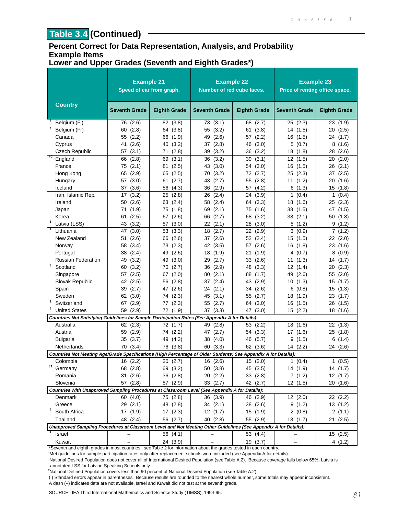## **Table 3.4 (Continued)**

#### **Percent Correct for Data Representation, Analysis, and Probability Example Items Lower and Upper Grades (Seventh and Eighth Grades\*)**

|                                                                                                                  | <b>Example 21</b><br>Speed of car from graph. |                     | <b>Example 22</b><br>Number of red cube faces. |                     | <b>Example 23</b><br>Price of renting office space. |                       |
|------------------------------------------------------------------------------------------------------------------|-----------------------------------------------|---------------------|------------------------------------------------|---------------------|-----------------------------------------------------|-----------------------|
| <b>Country</b>                                                                                                   | <b>Seventh Grade</b>                          | <b>Eighth Grade</b> | <b>Seventh Grade</b>                           | <b>Eighth Grade</b> | <b>Seventh Grade</b>                                | <b>Eighth Grade</b>   |
| Belgium (FI)                                                                                                     | 76 (2.6)                                      | 82 (3.8)            | 73 (3.1)                                       | 68 (2.7)            | 25(2.3)                                             | 23(1.9)               |
| Ť<br>Belgium (Fr)                                                                                                | (2.8)<br>60                                   | 64 (3.8)            | (3.2)<br>55                                    | (3.8)<br>61         | 14 (1.5)                                            | 20<br>(2.5)           |
| Canada                                                                                                           | 55 (2.2)                                      | 66 (1.9)            | (2.6)<br>49                                    | 57 (2.2)            | 16 (1.5)                                            | 24 (1.7)              |
| Cyprus                                                                                                           | 41 (2.6)                                      | (3.2)<br>40         | 37<br>(2.8)                                    | 46<br>(3.0)         | 5<br>(0.7)                                          | 8(1.6)                |
| <b>Czech Republic</b>                                                                                            | 57(3.1)                                       | (2.8)<br>71         | 39<br>(3.2)                                    | (3.2)<br>36         | 18 (1.8)                                            | 28(2.6)               |
| $+2$<br>England                                                                                                  | (2.8)<br>66                                   | (3.1)<br>69         | (3.2)<br>36                                    | 39<br>(3.1)         | 12<br>(1.5)                                         | (2.0)<br>20           |
| France                                                                                                           | 75 (2.1)                                      | (2.5)<br>81         | (3.0)<br>43                                    | 54 (3.0)            | (1.5)<br>16                                         | 26<br>(2.1)           |
| Hong Kong                                                                                                        | 65 (2.9)                                      | 65 (2.5)            | (3.2)<br>70                                    | 72 (2.7)            | 25 (2.3)                                            | 37(2.5)               |
| Hungary                                                                                                          | 57 (3.0)                                      | (2.7)<br>61         | (2.7)<br>43                                    | (2.8)<br>55         | 11<br>(1.2)                                         | 20<br>(1.6)           |
| Iceland                                                                                                          | 37 (3.6)                                      | 56 (4.3)            | 36<br>(2.9)                                    | (4.2)<br>57         | 6(1.3)                                              | 15(1.8)               |
| Iran, Islamic Rep.                                                                                               | 17(3.2)                                       | 25(2.8)             | (2.4)<br>26                                    | 24<br>(3.9)         | (0.4)<br>1                                          | $\mathbf{1}$<br>(0.4) |
| Ireland                                                                                                          | (2.6)<br>50                                   | (2.4)<br>63         | (2.4)<br>58                                    | (3.3)<br>64         | (1.6)<br>18                                         | 25 (2.3)              |
| Japan                                                                                                            | 71 (1.9)                                      | (1.8)<br>75         | (2.1)<br>69                                    | (1.6)<br>75         | 38<br>(1.5)                                         | (1.5)<br>47           |
| Korea                                                                                                            | (2.5)<br>61                                   | 67 (2.6)            | (2.7)<br>66                                    | 68<br>(3.2)         | 38 (2.1)                                            | 50 (1.8)              |
| $\mathbf{1}$<br>Latvia (LSS)                                                                                     | 43 (3.2)                                      | 57 (3.0)            | (2.1)<br>22                                    | (3.0)<br>28         | 5(1.2)                                              | 9(1.2)                |
| $\overline{1}$<br>Lithuania                                                                                      | 47 (3.0)                                      | (3.3)<br>53         | (2.7)<br>18                                    | 22<br>(2.9)         | 3(0.9)                                              | 7(1.2)                |
| New Zealand                                                                                                      | 51(2.6)                                       | 66 (2.6)            | (2.6)<br>37                                    | 52 (2.4)            | 15 (1.5)                                            | 22(2.0)               |
| Norway                                                                                                           | 58 (3.4)                                      | 73 (2.3)            | 42<br>(3.5)                                    | (2.6)<br>57         | 16<br>(1.8)                                         | 23 (1.6)              |
| Portugal                                                                                                         | (2.4)<br>38                                   | (2.6)<br>49         | 18<br>(1.9)                                    | 21<br>(1.9)         | 4 (0.7)                                             | 8<br>(0.9)            |
| <b>Russian Federation</b>                                                                                        | 49 (3.2)                                      | 49<br>(3.0)         | 29<br>(2.7)                                    | 33 (2.6)            | (1.3)<br>11                                         | 14 (1.7)              |
| $\overline{1}$<br>Scotland                                                                                       | (3.2)<br>60                                   | 70<br>(2.7)         | 36<br>(2.9)                                    | 48<br>(3.3)         | 12<br>(1.4)                                         | 20<br>(2.3)           |
| Singapore                                                                                                        | 57(2.5)                                       | 67 (2.0)            | (2.1)<br>80                                    | 88<br>(1.7)         | (2.6)<br>49                                         | 55<br>(2.0)           |
| Slovak Republic                                                                                                  | 42 (2.5)                                      | 56<br>(2.8)         | (2.4)<br>37                                    | 43 (2.9)            | 10 (1.3)                                            | 15(1.7)               |
| Spain                                                                                                            | 39 (2.7)                                      | 47 (2.6)            | (2.1)<br>24                                    | 34 (2.6)            | 6<br>(0.8)                                          | 15(1.3)               |
| Sweden                                                                                                           | 62 (3.0)                                      | 74 (2.3)            | (3.1)<br>45                                    | 55 (2.7)            | 18 (1.9)                                            | 23(1.7)               |
| Switzerland                                                                                                      | 67 (2.9)                                      | (2.3)<br>77         | 55<br>(2.7)                                    | 64<br>(3.0)         | 16<br>(1.5)                                         | 26<br>(1.5)           |
| Ť<br><b>United States</b>                                                                                        | 59 (2.9)                                      | 72 (1.9)            | 37 (3.3)                                       | 47 (3.0)            | 15 (2.2)                                            | 18 (1.6)              |
| Countries Not Satisfying Guidelines for Sample Participation Rates (See Appendix A for Details):                 |                                               |                     |                                                |                     |                                                     |                       |
| Australia                                                                                                        | 62 (2.3)                                      | 72 (1.7)            | 49<br>(2.8)                                    | 53 (2.2)            | 18 (1.6)                                            | 22(1.3)               |
| Austria                                                                                                          | 59 (2.9)                                      | 74 (2.2)            | (2.7)<br>47                                    | 54 (3.3)            | 17 (1.6)                                            | 25 (1.8)              |
| <b>Bulgaria</b>                                                                                                  | 35 (3.7)                                      | 49 (4.3)            | 38<br>(4.0)                                    | 46 (5.7)            | 9<br>(1.5)                                          | 6(1.4)                |
| Netherlands                                                                                                      | 70 (3.4)                                      | 76 (3.8)            | 60<br>(3.3)                                    | 62 (3.6)            | 14(2.2)                                             | 24 (2.6)              |
| Countries Not Meeting Age/Grade Specifications (High Percentage of Older Students; See Appendix A for Details):  |                                               |                     |                                                |                     |                                                     |                       |
| Colombia                                                                                                         | 16 (2.2)                                      | 20 (2.7)            | 16 (2.6)                                       | 15(2.0)             | 1(0.4)                                              | 1(0.5)                |
| †1<br>Germany                                                                                                    | 68 (2.8)                                      | 69 (3.2)            | 50 (3.8)                                       | 45 (3.5)            | 14 (1.9)                                            | 14 (1.7)              |
| Romania                                                                                                          | 31 (2.6)                                      | 36 (2.8)            | 20 (2.2)                                       | 33(2.8)             | 7(1.2)                                              | 12 (1.7)              |
| Slovenia                                                                                                         | 57 (2.8)                                      | 57 (2.9)            | 33 (2.7)                                       | 42 (2.7)            | 12 (1.5)                                            | 20(1.6)               |
| Countries With Unapproved Sampling Procedures at Classroom Level (See Appendix A for Details):                   |                                               |                     |                                                |                     |                                                     |                       |
| Denmark                                                                                                          | 60 (4.0)                                      | 75 (2.8)            | 36 (3.9)                                       | 46 (2.9)            | 12(2.0)                                             | 22 (2.2)              |
| Greece                                                                                                           | 29(2.1)                                       | 48 (2.8)            | 34 (2.1)                                       | 38 (2.6)            | 9(1.2)                                              | 13(1.2)               |
| Ť<br>South Africa                                                                                                | 17 (1.9)                                      | 17(2.3)             | 12(1.7)                                        | 15 (1.9)            | 2(0.8)                                              | 2(1.1)                |
| Thailand                                                                                                         | 48 (2.4)                                      | 56 (2.7)            | 40 (2.8)                                       | 55 (2.9)            | 13(1.7)                                             | 21 (2.5)              |
| Unapproved Sampling Procedures at Classroom Level and Not Meeting Other Guidelines (See Appendix A for Details): |                                               |                     |                                                |                     |                                                     |                       |
| Israel                                                                                                           |                                               | 56 (4.1)            |                                                | 53 (4.4)            |                                                     | 15(2.5)               |
| Kuwait                                                                                                           |                                               | 24 (3.9)            |                                                | 19 (3.7)            |                                                     | 4(1.2)                |

\*Seventh and eighth grades in most countries; see Table 2 for information about the grades tested in each country.

† Met guidelines for sample participation rates only after replacement schools were included (see Appendix A for details).

1 National Desired Population does not cover all of International Desired Population (see Table A.2). Because coverage falls below 65%, Latvia is annotated LSS for Latvian Speaking Schools only.

2 National Defined Population covers less than 90 percent of National Desired Population (see Table A.2).

( ) Standard errors appear in parentheses. Because results are rounded to the nearest whole number, some totals may appear inconsistent. A dash (–) indicates data are not available. Israel and Kuwait did not test at the seventh grade.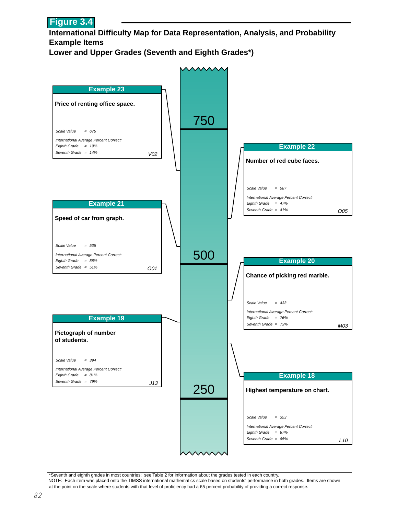

**International Difficulty Map for Data Representation, Analysis, and Probability Example Items**

**Lower and Upper Grades (Seventh and Eighth Grades\*)**



\*Seventh and eighth grades in most countries; see Table 2 for information about the grades tested in each country. NOTE: Each item was placed onto the TIMSS international mathematics scale based on students' performance in both grades. Items are shown at the point on the scale where students with that level of proficiency had a 65 percent probability of providing a correct response.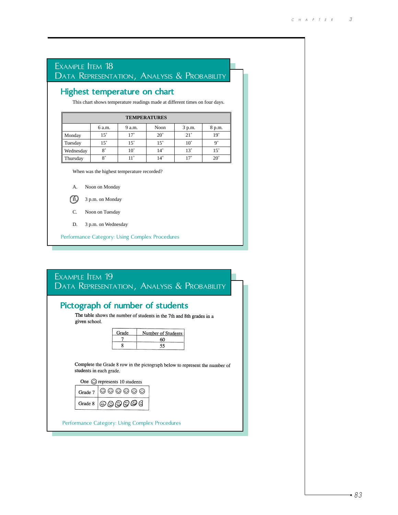## Performance Category: Using Complex Procedures Highest temperature on chart EXAMPLE **ITEM** 18 DATA REPRESENTATION, ANALYSIS & PROBABILITY This chart shows temperature readings made at different times on four days. When was the highest temperature recorded? A. Noon on Monday B. 3 p.m. on Monday C. Noon on Tuesday D. 3 p.m. on Wednesday **TEMPERATURES** Monday Tuesday Wednesday Thursday 6 a.m. 9 a.m. Noon 3 p.m. 8 p.m.  $15^\circ$  |  $17^\circ$  |  $20^\circ$  |  $21^\circ$  |  $19^\circ$  $15^\circ$  |  $15^\circ$  |  $10^\circ$  |  $9^\circ$ 8° | 10° | 14° | 13° | 15°  $8°$  | 11° | 14° | 17° | 20° EXAMPLE **ITEM** 19 DATA REPRESENTATION, ANALYSIS & PROBABILITY

#### Pictograph of number of students<br>The table shows the number of students in the 7th and 8th grades in a given school. Grade Number of Students  $\overline{7}$ 60  $\overline{8}$ 55 Complete the Grade 8 row in the pictograph below to represent the number of students in each grade. One  $\odot$  represents 10 students  $\begin{picture}(5,6) \put(0,0){\line(1,0){155}} \put(1,0){\line(1,0){155}} \put(1,0){\line(1,0){155}} \put(1,0){\line(1,0){155}} \put(1,0){\line(1,0){155}} \put(1,0){\line(1,0){155}} \put(1,0){\line(1,0){155}} \put(1,0){\line(1,0){155}} \put(1,0){\line(1,0){155}} \put(1,0){\line(1,0){155}} \put(1,0){\line(1,0){155}} \put(1,0){\line(1,0$ Grade 7  $|$ ©© $\Theta$ G Grade 8 Performance Category: Using Complex Procedures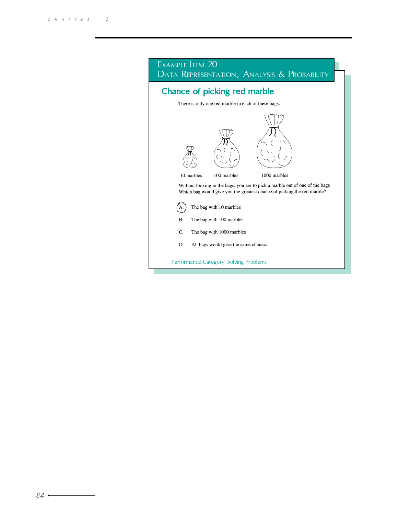|                                                     |            | Chance of picking red marble         |                                                                                                                                                          |  |
|-----------------------------------------------------|------------|--------------------------------------|----------------------------------------------------------------------------------------------------------------------------------------------------------|--|
| There is only one red marble in each of these bags. |            |                                      |                                                                                                                                                          |  |
|                                                     |            |                                      |                                                                                                                                                          |  |
|                                                     |            |                                      |                                                                                                                                                          |  |
|                                                     | 10 marbles | 100 marbles                          | 1000 marbles                                                                                                                                             |  |
|                                                     |            |                                      | Without looking in the bags, you are to pick a marble out of one of the bags.<br>Which bag would give you the greatest chance of picking the red marble? |  |
|                                                     |            | The bag with 10 marbles              |                                                                                                                                                          |  |
| B.                                                  |            | The bag with 100 marbles             |                                                                                                                                                          |  |
| C.                                                  |            | The bag with 1000 marbles            |                                                                                                                                                          |  |
|                                                     |            | All bags would give the same chance. |                                                                                                                                                          |  |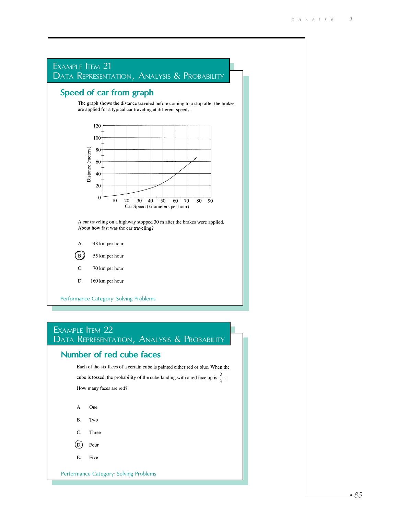



Performance Category: Solving Problems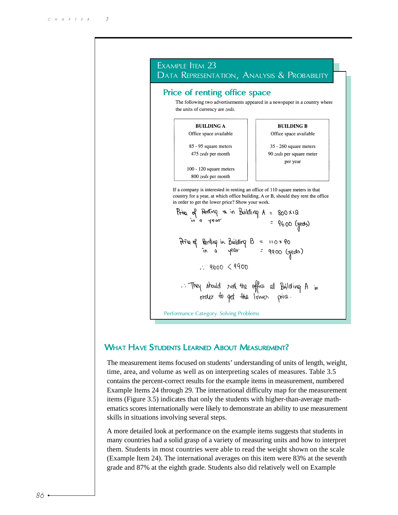

#### WHAT HAVE STUDENTS LEARNED ABOUT MEASUREMENT?

The measurement items focused on students' understanding of units of length, weight, time, area, and volume as well as on interpreting scales of measures. Table 3.5 contains the percent-correct results for the example items in measurement, numbered Example Items 24 through 29. The international difficulty map for the measurement items (Figure 3.5) indicates that only the students with higher-than-average mathematics scores internationally were likely to demonstrate an ability to use measurement skills in situations involving several steps.

A more detailed look at performance on the example items suggests that students in many countries had a solid grasp of a variety of measuring units and how to interpret them. Students in most countries were able to read the weight shown on the scale (Example Item 24). The international averages on this item were 83% at the seventh grade and 87% at the eighth grade. Students also did relatively well on Example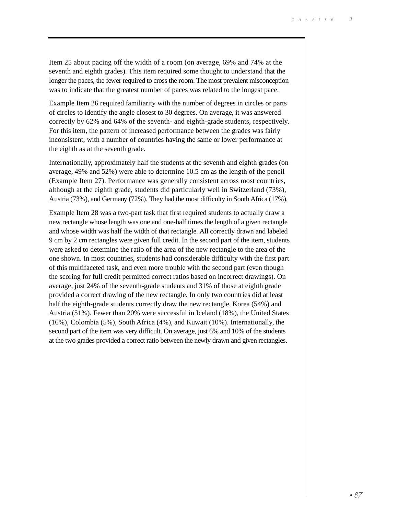Item 25 about pacing off the width of a room (on average, 69% and 74% at the seventh and eighth grades). This item required some thought to understand that the longer the paces, the fewer required to cross the room. The most prevalent misconception was to indicate that the greatest number of paces was related to the longest pace.

Example Item 26 required familiarity with the number of degrees in circles or parts of circles to identify the angle closest to 30 degrees. On average, it was answered correctly by 62% and 64% of the seventh- and eighth-grade students, respectively. For this item, the pattern of increased performance between the grades was fairly inconsistent, with a number of countries having the same or lower performance at the eighth as at the seventh grade.

Internationally, approximately half the students at the seventh and eighth grades (on average, 49% and 52%) were able to determine 10.5 cm as the length of the pencil (Example Item 27). Performance was generally consistent across most countries, although at the eighth grade, students did particularly well in Switzerland (73%), Austria (73%), and Germany (72%). They had the most difficulty in South Africa (17%).

Example Item 28 was a two-part task that first required students to actually draw a new rectangle whose length was one and one-half times the length of a given rectangle and whose width was half the width of that rectangle. All correctly drawn and labeled 9 cm by 2 cm rectangles were given full credit. In the second part of the item, students were asked to determine the ratio of the area of the new rectangle to the area of the one shown. In most countries, students had considerable difficulty with the first part of this multifaceted task, and even more trouble with the second part (even though the scoring for full credit permitted correct ratios based on incorrect drawings). On average, just 24% of the seventh-grade students and 31% of those at eighth grade provided a correct drawing of the new rectangle. In only two countries did at least half the eighth-grade students correctly draw the new rectangle, Korea (54%) and Austria (51%). Fewer than 20% were successful in Iceland (18%), the United States (16%), Colombia (5%), South Africa (4%), and Kuwait (10%). Internationally, the second part of the item was very difficult. On average, just 6% and 10% of the students at the two grades provided a correct ratio between the newly drawn and given rectangles.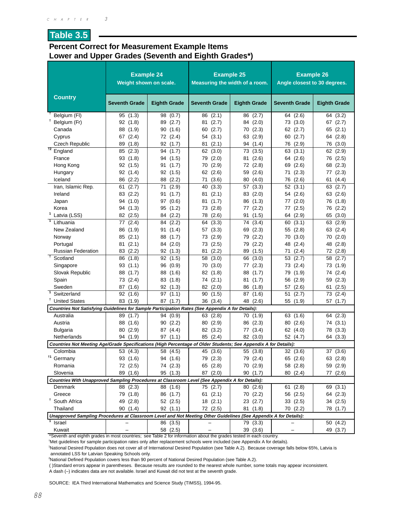#### **Table 3.5**

#### **Percent Correct for Measurement Example Items Lower and Upper Grades (Seventh and Eighth Grades\*)**

|                                                                                                                  | <b>Example 24</b><br>Weight shown on scale. |                     | <b>Example 25</b><br>Measuring the width of a room. |                     | <b>Example 26</b><br>Angle closest to 30 degrees. |              |
|------------------------------------------------------------------------------------------------------------------|---------------------------------------------|---------------------|-----------------------------------------------------|---------------------|---------------------------------------------------|--------------|
| <b>Country</b>                                                                                                   | <b>Seventh Grade</b>                        | <b>Eighth Grade</b> | <b>Seventh Grade</b>                                | <b>Eighth Grade</b> | <b>Seventh Grade</b>                              | Eighth Grade |
| Belgium (FI)                                                                                                     | 95 (1.3)                                    | 98 (0.7)            | (2.1)<br>86                                         | (2.7)<br>86         | 64 (2.6)                                          | 64 (3.2)     |
| Belgium (Fr)                                                                                                     | 92(1.8)                                     | (2.7)<br>89         | (2.7)<br>81                                         | 84 (2.0)            | 73 (3.0)                                          | 67 $(2.7)$   |
| Canada                                                                                                           | 88<br>(1.9)                                 | 90<br>(1.6)         | (2.7)<br>60                                         | 70 (2.3)            | 62 (2.7)                                          | 65 $(2.1)$   |
| Cyprus                                                                                                           | 67 (2.4)                                    | 72 (2.4)            | 54 (3.1)                                            | 63 (2.9)            | 60 (2.7)                                          | 64 (2.8)     |
| Czech Republic                                                                                                   | 89<br>(1.8)                                 | 92 (1.7)            | (2.1)<br>81                                         | 94 (1.4)            | 76 (2.9)                                          | 76 (3.0)     |
| $t^2$ England                                                                                                    | 85 (2.3)                                    | 94 (1.7)            | 62 (3.0)                                            | 73 (3.5)            | 63(3.1)                                           | 62 (2.9)     |
| France                                                                                                           | 93 (1.8)                                    | 94<br>(1.5)         | (2.0)<br>79                                         | (2.6)<br>81         | 64 (2.6)                                          | 76 (2.5)     |
| Hong Kong                                                                                                        | 92 (1.5)                                    | 91<br>(1.7)         | 70<br>(2.9)                                         | 72 (2.8)            | 69<br>(2.6)                                       | 68 (2.3)     |
| Hungary                                                                                                          | 92<br>(1.4)                                 | 92<br>(1.5)         | 62<br>(2.6)                                         | (2.6)<br>59         | (2.3)<br>71                                       | 77 (2.3)     |
| Iceland                                                                                                          | 86 (2.2)                                    | 88<br>(2.2)         | (3.6)<br>71                                         | 80<br>(4.0)         | 76 (2.6)                                          | 61<br>(4.4)  |
| Iran, Islamic Rep.                                                                                               | (2.7)<br>61                                 | (2.9)<br>71         | (3.3)<br>40                                         | (3.3)<br>57         | 52(3.1)                                           | 63(2.7)      |
| Ireland                                                                                                          | 83 (2.2)                                    | 91<br>(1.7)         | (2.1)<br>81                                         | 83 (2.0)            | 54 (2.6)                                          | 63 (2.6)     |
| Japan                                                                                                            | 94<br>(1.0)                                 | 97 (0.6)            | 81<br>(1.7)                                         | 86<br>(1.3)         | (2.0)<br>77                                       | 76 (1.8)     |
| Korea                                                                                                            | 94<br>(1.3)                                 | 95<br>(1.2)         | 73<br>(2.8)                                         | 77<br>(2.2)         | 77 (2.5)                                          | 76 (2.2)     |
| Latvia (LSS)                                                                                                     | 82 (2.5)                                    | 84 (2.2)            | 78<br>(2.6)                                         | 91<br>(1.5)         | (2.9)<br>64                                       | 65 (3.0)     |
| $\mathbf{1}$<br>Lithuania                                                                                        | (2.4)<br>77                                 | (2.2)<br>84         | (3.3)<br>64                                         | 74<br>(3.4)         | (3.1)<br>60                                       | 63 (2.9)     |
| New Zealand                                                                                                      | 86 (1.9)                                    | 91<br>(1.4)         | 57<br>(3.3)                                         | (2.3)<br>69         | (2.8)<br>55                                       | 63 (2.4)     |
| Norway                                                                                                           | 85 (2.1)                                    | 88<br>(1.7)         | (2.9)<br>73                                         | (2.2)<br>79         | 70 (3.0)                                          | 70 (2.0)     |
| Portugal                                                                                                         | (2.1)<br>81                                 | 84 (2.0)            | (2.5)<br>73                                         | (2.2)<br>79         | (2.4)<br>48                                       | 48 (2.8)     |
| <b>Russian Federation</b>                                                                                        | (2.2)<br>83                                 | 92(1.3)             | (2.2)<br>81                                         | 89<br>(1.5)         | (2.4)<br>71                                       | 72 (2.8)     |
| t<br>Scotland                                                                                                    | (1.8)<br>86                                 | 92(1.5)             | 58<br>(3.0)                                         | (3.0)<br>66         | 53 (2.7)                                          | 58 (2.7)     |
| Singapore                                                                                                        | 93<br>(1.1)                                 | 96 (0.9)            | (3.0)<br>70                                         | (2.3)<br>77         | 73 (2.4)                                          | 73 (1.9)     |
| Slovak Republic                                                                                                  | 88<br>(1.7)                                 | 88 (1.6)            | 82 (1.8)                                            | 88<br>(1.7)         | 79<br>(1.9)                                       | 74 (2.4)     |
| Spain                                                                                                            | 73 (2.4)                                    | 83 (1.8)            | 74 (2.1)                                            | 81<br>(1.7)         | 56 (2.9)                                          | 59 (2.3)     |
| Sweden                                                                                                           | 87<br>(1.6)                                 | 92(1.3)             | 82 (2.0)                                            | 86<br>(1.8)         | 57 (2.6)                                          | (2.5)<br>61  |
| $\overline{1}$<br>Switzerland                                                                                    | 92<br>(1.6)                                 | 97<br>(1.1)         | (1.5)<br>90                                         | 87<br>(1.6)         | 51<br>(2.7)                                       | 73 (2.4)     |
| <b>United States</b>                                                                                             | 83 (1.9)                                    | 87 (1.7)            | 36 (3.4)                                            | 48 (2.6)            | 55 (1.9)                                          | 57(1.7)      |
| Countries Not Satisfying Guidelines for Sample Participation Rates (See Appendix A for Details):                 |                                             |                     |                                                     |                     |                                                   |              |
| Australia                                                                                                        | 89 (1.7)                                    | 94 (0.9)            | 63 (2.8)                                            | 70 (1.9)            | 63 (1.6)                                          | 64 (2.3)     |
| Austria                                                                                                          | 88<br>(1.6)                                 | 90(2.2)             | 80 (2.9)                                            | 86 (2.3)            | 80 (2.6)                                          | 74 (3.1)     |
| <b>Bulgaria</b>                                                                                                  | 80<br>(2.9)                                 | 87 (4.4)            | 82<br>(3.2)                                         | 77 (3.4)            | 62 (4.0)                                          | 78 (3.3)     |
| Netherlands                                                                                                      | 94 (1.9)                                    | 97(1.1)             | 85 (2.4)                                            | 82 (3.0)            | 52 (4.7)                                          | 64 (3.3)     |
| Countries Not Meeting Age/Grade Specifications (High Percentage of Older Students; See Appendix A for Details):  |                                             |                     |                                                     |                     |                                                   |              |
| Colombia                                                                                                         | 53 (4.3)                                    | 58 (4.5)            | 45 (3.6)                                            | 55<br>(3.8)         | 32(3.6)                                           | 37(3.6)      |
| †1<br>Germany                                                                                                    | 93 (1.6)                                    | 94 (1.6)            | 79 (2.3)                                            | 79 (2.4)            | 65 (2.6)                                          | 63 (2.8)     |
| Romania                                                                                                          | 72 (2.5)                                    | 74 (2.3)            | 65 (2.8)                                            | 70 (2.9)            | 58 (2.8)                                          | 59 (2.9)     |
| Slovenia                                                                                                         | 89 (1.6)                                    | 95 (1.3)            | 87 (2.0)                                            | 90 (1.7)            | 80 (2.4)                                          | 77 (2.6)     |
| Countries With Unapproved Sampling Procedures at Classroom Level (See Appendix A for Details):                   |                                             |                     |                                                     |                     |                                                   |              |
| Denmark                                                                                                          | 88 (2.3)                                    | 88 (1.6)            | 75 (2.7)                                            | 80 (2.6)            | 61(2.8)                                           | 69 (3.1)     |
| Greece                                                                                                           | 79 (1.8)                                    | 86 (1.7)            | 61(2.1)                                             | 70 (2.2)            | 56 (2.5)                                          | 64 (2.3)     |
| Ť.<br>South Africa                                                                                               | 49 (2.8)                                    | 52 (2.5)            | 18(2.1)                                             | 23 (2.7)            | 33(2.5)                                           | 34 (2.5)     |
| Thailand                                                                                                         | 90 (1.4)                                    | 92(1.1)             | 72 (2.5)                                            | 81 (1.8)            | 70 (2.2)                                          | 78 (1.7)     |
| Unapproved Sampling Procedures at Classroom Level and Not Meeting Other Guidelines (See Appendix A for Details): |                                             |                     |                                                     |                     |                                                   |              |
| Israel                                                                                                           |                                             | 86 (3.5)            |                                                     | 79 (3.3)            |                                                   | 50 (4.2)     |
| Kuwait                                                                                                           |                                             | 58 (2.5)            |                                                     | 39 (3.6)            |                                                   | 49 (3.7)     |

\*Seventh and eighth grades in most countries; see Table 2 for information about the grades tested in each country.

† Met guidelines for sample participation rates only after replacement schools were included (see Appendix A for details).

1 National Desired Population does not cover all of International Desired Population (see Table A.2). Because coverage falls below 65%, Latvia is annotated LSS for Latvian Speaking Schools only.

2 National Defined Population covers less than 90 percent of National Desired Population (see Table A.2).

( )Standard errors appear in parentheses. Because results are rounded to the nearest whole number, some totals may appear inconsistent. A dash (–) indicates data are not available. Israel and Kuwait did not test at the seventh grade.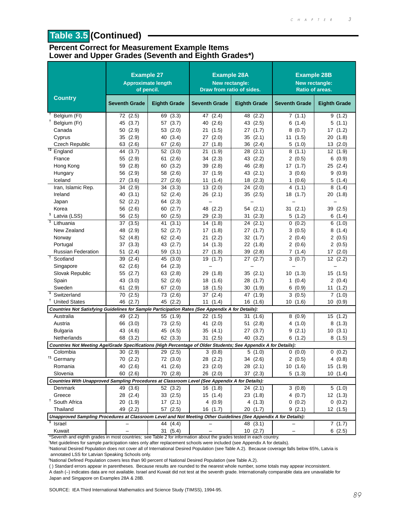# **Table 3.5 (Continued)**

#### **Percent Correct for Measurement Example Items Lower and Upper Grades (Seventh and Eighth Grades\*)**

|                                                                                                                  | <b>Example 27</b><br><b>Approximate length</b><br>of pencil. |                     | <b>Example 28A</b><br>New rectangle:<br>Draw from ratio of sides. |                     | <b>Example 28B</b><br>New rectangle:<br>Ratio of areas. |                     |
|------------------------------------------------------------------------------------------------------------------|--------------------------------------------------------------|---------------------|-------------------------------------------------------------------|---------------------|---------------------------------------------------------|---------------------|
| <b>Country</b>                                                                                                   | <b>Seventh Grade</b>                                         | <b>Eighth Grade</b> | <b>Seventh Grade</b>                                              | <b>Eighth Grade</b> | <b>Seventh Grade</b>                                    | <b>Eighth Grade</b> |
| Belgium (FI)                                                                                                     | 72 (2.5)                                                     | 69 (3.3)            | 47 (2.4)                                                          | 48 (2.2)            | 7(1.1)                                                  | 9(1.2)              |
| Belgium (Fr)                                                                                                     | 45 (3.7)                                                     | 57 (3.7)            | (2.6)<br>40                                                       | 43 (2.5)            | 6(1.4)                                                  | 5 (1.1)             |
| Canada                                                                                                           | (2.9)<br>50                                                  | 53<br>(2.0)         | 21<br>(1.5)                                                       | 27 (1.7)            | (0.7)<br>8                                              | (1.2)<br>17         |
| Cyprus                                                                                                           | 35<br>(2.9)                                                  | 40<br>(3.4)         | 27(2.0)                                                           | 35(2.1)             | 11(1.5)                                                 | (1.8)<br>20         |
| <b>Czech Republic</b>                                                                                            | (2.6)<br>63                                                  | (2.6)<br>67         | 27(1.8)                                                           | 36 (2.4)            | 5(1.0)                                                  | (2.0)<br>13         |
| $\overline{12}$<br>England                                                                                       | (3.7)<br>44                                                  | 52 (3.0)            | (1.9)<br>21                                                       | (2.1)<br>28         | 8(1.1)                                                  | 12(1.9)             |
| France                                                                                                           | 55 (2.9)                                                     | 61<br>(2.6)         | 34(2.3)                                                           | 43 (2.2)            | 2(0.5)                                                  | 6<br>(0.9)          |
| Hong Kong                                                                                                        | (2.8)<br>59                                                  | (3.2)<br>60         | (2.8)<br>39                                                       | 46 (2.8)            | 17 (1.7)                                                | 25 (2.4)            |
| Hungary                                                                                                          | (2.9)<br>56                                                  | 58<br>(2.6)         | 37 (1.9)                                                          | 43 (2.1)            | 3(0.6)                                                  | 9<br>(0.9)          |
| Iceland                                                                                                          | (3.6)<br>27                                                  | (2.6)<br>27         | 11 $(1.4)$                                                        | 18(2.3)             | 1(0.6)                                                  | 5<br>(1.4)          |
| Iran, Islamic Rep.                                                                                               | 34<br>(2.9)                                                  | 34<br>(3.3)         | 13<br>(2.0)                                                       | 24(2.0)             | 4(1.1)                                                  | 8<br>(1.4)          |
| Ireland                                                                                                          | (3.1)<br>40                                                  | 52(2.4)             | 26(2.1)                                                           | 35(2.5)             | 18(1.7)                                                 | 20<br>(1.8)         |
| Japan                                                                                                            | 52 (2.2)                                                     | 64 (2.3)            |                                                                   |                     |                                                         |                     |
| Korea                                                                                                            | 56 (2.6)                                                     | (2.7)<br>60         | 48 (2.2)                                                          | 54 (2.1)            | 31(2.1)                                                 | 39 (2.5)            |
| Latvia (LSS)                                                                                                     | 56<br>(2.5)                                                  | 60<br>(2.5)         | 29 (2.3)                                                          | 31(2.3)             | 5(1.2)                                                  | 6(1.4)              |
| 7<br>Lithuania                                                                                                   | 37<br>(3.5)                                                  | 41<br>(3.1)         | 14 (1.8)                                                          | 24(2.1)             | (0.2)<br>0                                              | 6(1.0)              |
| New Zealand                                                                                                      | 48<br>(2.9)                                                  | 52 (2.7)            | 17 (1.8)                                                          | 27(1.7)             | 3(0.5)                                                  | (1.4)<br>8          |
| Norway                                                                                                           | 52 (4.8)                                                     | 62(2.4)             | (2.2)<br>21                                                       | 32(1.7)             | 2(0.4)                                                  | 2(0.5)              |
| Portugal                                                                                                         | (3.3)<br>37                                                  | 43 (2.7)            | 14(1.3)                                                           | 22 (1.8)            | 2(0.6)                                                  | 2(0.5)              |
| <b>Russian Federation</b>                                                                                        | (2.4)<br>51                                                  | (3.1)<br>59         | 27(1.8)                                                           | 39(2.8)             | 7(1.4)                                                  | 17(2.0)             |
| $\mathsf{t}$<br>Scotland                                                                                         | (2.4)<br>39                                                  | 45<br>(3.0)         | 19<br>(1.7)                                                       | 27(2.7)             | 3(0.7)                                                  | 12 (2.2)            |
| Singapore                                                                                                        | 62(2.6)                                                      | (2.3)<br>64         |                                                                   |                     |                                                         |                     |
| Slovak Republic                                                                                                  | 55 (2.7)                                                     | 63<br>(2.8)         | 29<br>(1.8)                                                       | 35(2.1)             | 10 (1.3)                                                | 15(1.5)             |
| Spain                                                                                                            | (3.0)<br>43                                                  | 52 (2.6)            | 18(1.6)                                                           | 28 (1.7)            | 1 $(0.4)$                                               | 2(0.4)              |
| Sweden                                                                                                           | (2.9)<br>61                                                  | 67(2.0)             | 18 (1.5)                                                          | 30(1.9)             | 6(0.9)                                                  | 11(1.2)             |
| $\overline{1}$<br>Switzerland                                                                                    | 70<br>(2.5)                                                  | (2.6)<br>73         | 37(2.4)                                                           | 47 (1.9)            | 3(0.5)                                                  | 7(1.0)              |
| <b>United States</b>                                                                                             | 46<br>(2.7)                                                  | 45 (2.2)            | 11(1.4)                                                           | 16(1.6)             | 10(1.6)                                                 | 10(0.9)             |
| Countries Not Satisfying Guidelines for Sample Participation Rates (See Appendix A for Details):                 |                                                              |                     |                                                                   |                     |                                                         |                     |
| Australia                                                                                                        | (2.2)<br>49                                                  | 55 (1.9)            | 22 (1.5)                                                          | 31 (1.6)            | 8(0.9)                                                  | 15(1.2)             |
| Austria                                                                                                          | (3.0)<br>66                                                  | 73 (2.5)            | 41 (2.0)                                                          | 51 (2.8)            | 4(1.0)                                                  | 8<br>(1.3)          |
| <b>Bulgaria</b>                                                                                                  | 43 (4.6)                                                     | 45 (4.5)            | 35(4.1)                                                           | 27 (3.7)            | 9(2.1)                                                  | 10(3.1)             |
| Netherlands                                                                                                      | 68 (3.2)                                                     | 62(3.3)             | 31(2.5)                                                           | 40 (3.2)            | 6(1.2)                                                  | 8(1.5)              |
| Countries Not Meeting Age/Grade Specifications (High Percentage of Older Students; See Appendix A for Details):  |                                                              |                     |                                                                   |                     |                                                         |                     |
| Colombia                                                                                                         | 30 (2.9)                                                     | 29 (2.5)            | 3(0.8)                                                            | 5(1.0)              | 0(0.0)                                                  | 0(0.2)              |
| $^{\dagger1}$<br>Germany                                                                                         | 70 (2.2)                                                     | 72 (3.0)            | 28 (2.2)                                                          | 34 (2.6)            | 2(0.5)                                                  | 4(0.8)              |
| Romania                                                                                                          | 40 (2.6)                                                     | 41 (2.6)            | 23 (2.0)                                                          | 28 (2.1)            | 10(1.6)                                                 | 15 (1.9)            |
| Slovenia                                                                                                         | 60(2.6)                                                      | 70 (2.8)            | 26 (2.0)                                                          | 37(2.3)             | 5(1.3)                                                  | 10(1.4)             |
| Countries With Unapproved Sampling Procedures at Classroom Level (See Appendix A for Details):                   |                                                              |                     |                                                                   |                     |                                                         |                     |
| Denmark                                                                                                          | 49 (3.6)                                                     | 52 (3.2)            | 16(1.8)                                                           | 24(2.1)             | 3(0.8)                                                  | 5(1.0)              |
| Greece                                                                                                           | 28 (2.4)                                                     | 33(2.5)             | 15(1.4)                                                           | 23(1.8)             | 4(0.7)                                                  | 12(1.3)             |
| <sup>†</sup> South Africa                                                                                        | 20 (1.9)                                                     | 17(2.1)             | 4(0.9)                                                            | 4(1.3)              | 0(0.2)                                                  | 0(0.2)              |
| Thailand                                                                                                         | 49 (2.2)                                                     | 57 (2.5)            | 16(1.7)                                                           | 20(1.7)             | 9(2.1)                                                  | 12(1.5)             |
| Unapproved Sampling Procedures at Classroom Level and Not Meeting Other Guidelines (See Appendix A for Details): |                                                              |                     |                                                                   |                     |                                                         |                     |
| Israel                                                                                                           |                                                              | 44 (4.4)            |                                                                   | 48 (3.1)            |                                                         | 7(1.7)              |
| Kuwait                                                                                                           |                                                              | 31(5.4)             |                                                                   | 10(2.7)             |                                                         | 6(2.5)              |

\*Seventh and eighth grades in most countries; see Table 2 for information about the grades tested in each country. † Met guidelines for sample participation rates only after replacement schools were included (see Appendix A for details).

1 National Desired Population does not cover all of International Desired Population (see Table A.2). Because coverage falls below 65%, Latvia is

annotated LSS for Latvian Speaking Schools only.

2 National Defined Population covers less than 90 percent of National Desired Population (see Table A.2).

( ) Standard errors appear in parentheses. Because results are rounded to the nearest whole number, some totals may appear inconsistent. A dash (–) indicates data are not available. Israel and Kuwait did not test at the seventh grade. Internationally comparable data are unavailable for Japan and Singapore on Examples 28A & 28B.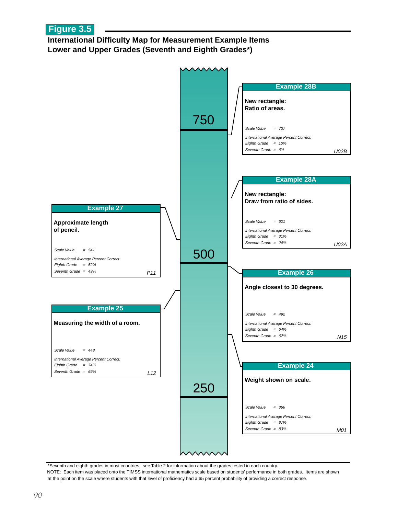#### **International Difficulty Map for Measurement Example Items Lower and Upper Grades (Seventh and Eighth Grades\*)**



\*Seventh and eighth grades in most countries; see Table 2 for information about the grades tested in each country. NOTE: Each item was placed onto the TIMSS international mathematics scale based on students' performance in both grades. Items are shown at the point on the scale where students with that level of proficiency had a 65 percent probability of providing a correct response.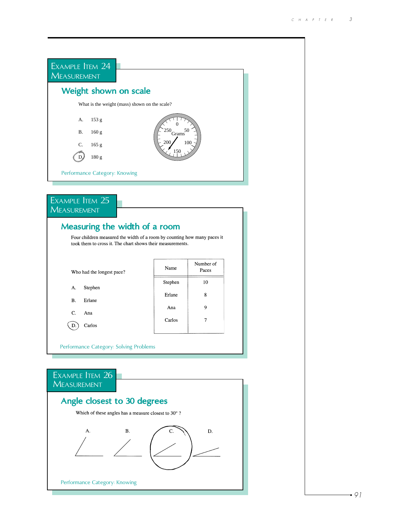

Performance Category: Knowing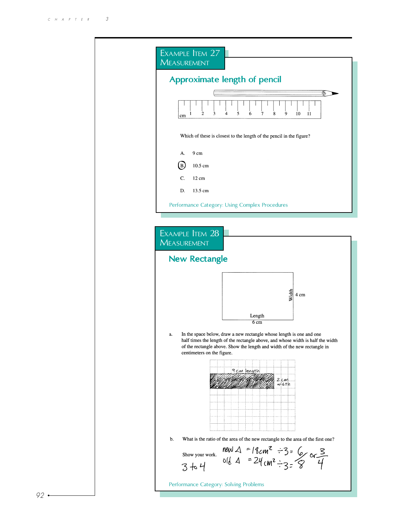| EXAMPLE ITEM 27<br><b>MEASUREMENT</b>                                                                                                                                                                                                                                    |
|--------------------------------------------------------------------------------------------------------------------------------------------------------------------------------------------------------------------------------------------------------------------------|
| Approximate length of pencil                                                                                                                                                                                                                                             |
| 2<br>3<br>4<br>5<br>6<br>8<br>7<br>9<br>10<br>11<br>1<br>cm                                                                                                                                                                                                              |
| Which of these is closest to the length of the pencil in the figure?                                                                                                                                                                                                     |
| A.<br>9 cm                                                                                                                                                                                                                                                               |
| (B)<br>10.5 cm                                                                                                                                                                                                                                                           |
| C.<br>12 cm                                                                                                                                                                                                                                                              |
| 13.5 cm<br>D.                                                                                                                                                                                                                                                            |
| Performance Category: Using Complex Procedures                                                                                                                                                                                                                           |
| <b>New Rectangle</b>                                                                                                                                                                                                                                                     |
| Width<br>4 cm                                                                                                                                                                                                                                                            |
| Length<br>6 <sub>cm</sub>                                                                                                                                                                                                                                                |
| In the space below, draw a new rectangle whose length is one and one<br>a.<br>half times the length of the rectangle above, and whose width is half the width<br>of the rectangle above. Show the length and width of the new rectangle in<br>centimeters on the figure. |
| 9 cm length<br>Z cm<br>width                                                                                                                                                                                                                                             |
| b.<br>What is the ratio of the area of the new rectangle to the area of the first one?                                                                                                                                                                                   |
| new $\triangle$ = 18cm <sup>2</sup> $\div$ 3= 6 or 3<br>old $\triangle$ = 24cm <sup>2</sup> $\div$ 3= 8 4<br>Show your work.<br>3 to 4                                                                                                                                   |
| Performance Category: Solving Problems                                                                                                                                                                                                                                   |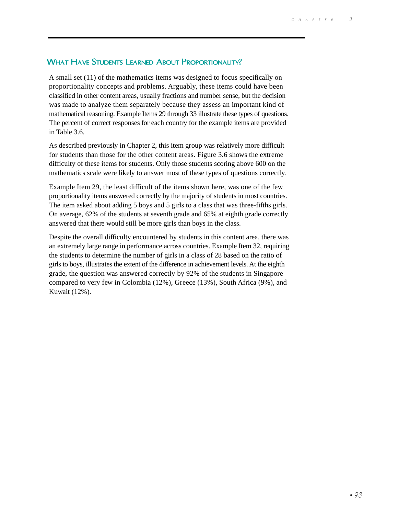#### WHAT HAVE STUDENTS LEARNED ABOUT PROPORTIONALITY?

A small set (11) of the mathematics items was designed to focus specifically on proportionality concepts and problems. Arguably, these items could have been classified in other content areas, usually fractions and number sense, but the decision was made to analyze them separately because they assess an important kind of mathematical reasoning. Example Items 29 through 33 illustrate these types of questions. The percent of correct responses for each country for the example items are provided in Table 3.6.

As described previously in Chapter 2, this item group was relatively more difficult for students than those for the other content areas. Figure 3.6 shows the extreme difficulty of these items for students. Only those students scoring above 600 on the mathematics scale were likely to answer most of these types of questions correctly.

Example Item 29, the least difficult of the items shown here, was one of the few proportionality items answered correctly by the majority of students in most countries. The item asked about adding 5 boys and 5 girls to a class that was three-fifths girls. On average, 62% of the students at seventh grade and 65% at eighth grade correctly answered that there would still be more girls than boys in the class.

Despite the overall difficulty encountered by students in this content area, there was an extremely large range in performance across countries. Example Item 32, requiring the students to determine the number of girls in a class of 28 based on the ratio of girls to boys, illustrates the extent of the difference in achievement levels. At the eighth grade, the question was answered correctly by 92% of the students in Singapore compared to very few in Colombia (12%), Greece (13%), South Africa (9%), and Kuwait (12%).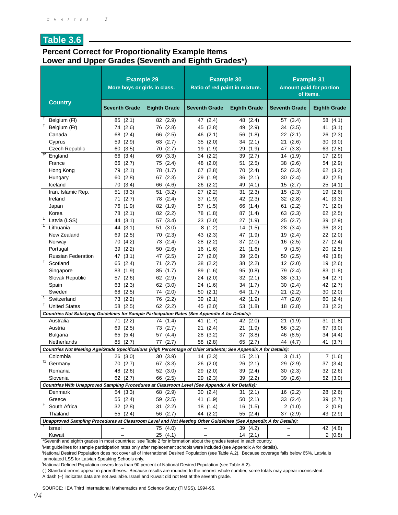#### **Table 3.6**

#### **Percent Correct for Proportionality Example Items Lower and Upper Grades (Seventh and Eighth Grades\*)**

|                                                                                                                            | <b>Example 29</b><br>More boys or girls in class. |                     | <b>Example 30</b><br>Ratio of red paint in mixture. |                     | <b>Example 31</b><br>of items. | <b>Amount paid for portion</b> |
|----------------------------------------------------------------------------------------------------------------------------|---------------------------------------------------|---------------------|-----------------------------------------------------|---------------------|--------------------------------|--------------------------------|
| <b>Country</b>                                                                                                             | <b>Seventh Grade</b>                              | <b>Eighth Grade</b> | <b>Seventh Grade</b>                                | <b>Eighth Grade</b> | <b>Seventh Grade</b>           | <b>Eighth Grade</b>            |
| Ť<br>Belgium (FI)                                                                                                          | 85(2.1)                                           | 82 (2.9)            | 47 (2.4)                                            | 48 (2.4)            | (3.4)<br>57                    | 58<br>(4.1)                    |
| Ť<br>Belgium (Fr)                                                                                                          | 74 (2.6)                                          | 76 (2.8)            | 45 (2.8)                                            | 49 (2.9)            | 34 (3.5)                       | (3.1)<br>41                    |
| Canada                                                                                                                     | 68 (2.4)                                          | 66 (2.5)            | 46 (2.1)                                            | 56 (1.8)            | 22(2.1)                        | 26<br>(2.3)                    |
| Cyprus                                                                                                                     | 59 (2.9)                                          | 63 (2.7)            | 35 (2.0)                                            | 34(2.1)             | (2.6)<br>21                    | (3.0)<br>30                    |
| Czech Republic                                                                                                             | 60 (3.5)                                          | 70 (2.7)            | 19(1.9)                                             | 29 (1.9)            | (3.3)<br>47                    | 63 (2.8)                       |
| $+2$<br>England                                                                                                            | 66<br>(3.4)                                       | 69<br>(3.3)         | 34<br>(2.2)                                         | 39<br>(2.7)         | (1.9)<br>14                    | 17<br>(2.9)                    |
| France                                                                                                                     | (2.7)<br>66                                       | (2.4)<br>75         | (2.0)<br>48                                         | (2.5)<br>51         | (2.6)<br>38                    | (2.9)<br>54                    |
| Hong Kong                                                                                                                  | (2.1)<br>79                                       | (1.7)<br>78         | 67 (2.8)                                            | (2.4)<br>70         | 52 (3.3)                       | 62<br>(3.2)                    |
| Hungary                                                                                                                    | 60(2.8)                                           | 67 (2.3)            | 29 (1.9)                                            | 36<br>(2.1)         | (2.4)<br>30                    | 42 (2.5)                       |
| Iceland                                                                                                                    | 70 (3.4)                                          | (4.6)<br>66         | 26(2.2)                                             | 49<br>(4.1)         | (2.7)<br>15                    | 25<br>(4.1)                    |
| Iran, Islamic Rep.                                                                                                         | 51(3.3)                                           | 51(3.2)             | 27(2.2)                                             | 31(2.3)             | 15(2.3)                        | (2.6)<br>19                    |
| Ireland                                                                                                                    | 71(2.7)                                           | 78 (2.4)            | 37 (1.9)                                            | 42 (2.3)            | 32(2.8)                        | 41<br>(3.3)                    |
| Japan                                                                                                                      | 76<br>(1.9)                                       | 82 (1.9)            | 57 (1.5)                                            | 66<br>(1.4)         | (2.2)<br>61                    | (2.0)<br>71                    |
| Korea                                                                                                                      | 78 (2.1)                                          | 82 (2.2)            | 78 (1.8)                                            | 87 (1.4)            | (2.3)<br>63                    | 62<br>(2.5)                    |
| $\mathbf{1}$<br>Latvia (LSS)                                                                                               | 44 (3.1)                                          | 57 (3.4)            | 23(2.0)                                             | 27 (1.9)            | (2.7)<br>25                    | 39<br>(2.9)                    |
| $\overline{1}$<br>Lithuania                                                                                                | (3.1)<br>44                                       | 51<br>(3.0)         | 8(1.2)                                              | (1.5)<br>14         | (3.4)<br>28                    | (3.2)<br>36                    |
| New Zealand                                                                                                                | 69 (2.5)                                          | 70(2.3)             | 43 (2.3)                                            | 47<br>(1.9)         | (2.4)<br>19                    | 22(2.0)                        |
| Norway                                                                                                                     | 70 (4.2)                                          | 73 (2.4)            | 28 (2.2)                                            | 37<br>(2.0)         | (2.5)<br>16                    | (2.4)<br>27                    |
| Portugal                                                                                                                   | 39<br>(2.2)                                       | 50<br>(2.6)         | 16<br>(1.6)                                         | 21<br>(1.6)         | 9<br>(1.5)                     | 20<br>(2.5)                    |
| <b>Russian Federation</b>                                                                                                  | 47 (3.1)                                          | 47 (2.5)            | 27 (2.0)                                            | 39<br>(2.6)         | (2.5)<br>50                    | 49<br>(3.8)                    |
| ┱<br>Scotland                                                                                                              | 65<br>(2.4)                                       | 71<br>(2.7)         | 38<br>(2.2)                                         | 38<br>(2.2)         | 12(2.0)                        | 19<br>(2.6)                    |
| Singapore                                                                                                                  | 83 (1.9)                                          | 85<br>(1.7)         | 89<br>(1.6)                                         | 95<br>(0.8)         | (2.4)<br>79                    | 83<br>(1.8)                    |
| Slovak Republic                                                                                                            | 57 (2.6)                                          | 62 (2.9)            | 24(2.0)                                             | 32(2.1)             | 38<br>(3.1)                    | (2.7)<br>54                    |
| Spain                                                                                                                      | 63 (2.3)                                          | 62 (3.0)            | 24 (1.6)                                            | 34 (1.7)            | (2.4)<br>30                    | 42 (2.7)                       |
| Sweden                                                                                                                     | (2.5)<br>68                                       | 74 (2.0)            | 50<br>(2.1)                                         | 64 (1.7)            | 21<br>(2.2)                    | (2.0)<br>30                    |
| $\mathbf{1}$<br>Switzerland                                                                                                | 73 (2.2)                                          | 76 (2.2)            | 39<br>(2.1)                                         | 42 (1.9)            | 47<br>(2.0)                    | (2.4)<br>60                    |
| t<br><b>United States</b>                                                                                                  | 58 (2.5)                                          | 62(2.2)             | 45 (2.0)                                            | 53 (1.8)            | 18(2.8)                        | 23<br>(2.2)                    |
| Countries Not Satisfying Guidelines for Sample Participation Rates (See Appendix A for Details):                           |                                                   |                     |                                                     |                     |                                |                                |
| Australia                                                                                                                  | 71(2.2)                                           | 74 (1.4)            | 41<br>(1.7)                                         | 42 (2.0)            | 21<br>(1.9)                    | (1.8)<br>31                    |
| Austria                                                                                                                    | (2.5)<br>69                                       | 73 (2.7)            | 21 (2.4)                                            | 21(1.9)             | (3.2)<br>56                    | 67<br>(3.0)                    |
| <b>Bulgaria</b>                                                                                                            | (5.4)<br>65                                       | 57 (4.4)            | 28<br>(3.2)                                         | 37 (3.8)            | 46<br>(8.5)                    | 34<br>(4.4)                    |
| Netherlands                                                                                                                | 85 (2.7)                                          | 77(2.7)             | 58 (2.8)                                            | 65 (2.7)            | 44 (4.7)                       | 41 (3.7)                       |
| Countries Not Meeting Age/Grade Specifications (High Percentage of Older Students; See Appendix A for Details):            |                                                   |                     |                                                     |                     |                                |                                |
| Colombia<br>†1                                                                                                             | 26(3.0)                                           | 30(3.9)             | 14(2.3)                                             | 15(2.1)             | 3(1.1)                         | 7(1.6)                         |
| Germany                                                                                                                    | 70 (2.7)                                          | 67 (3.3)            | 26(2.0)                                             | 26 (2.1)            | 29 (2.9)                       | 37 (3.4)                       |
| Romania                                                                                                                    | 48 (2.6)                                          | 52 (3.0)            | 29 (2.0)                                            | 39 (2.4)            | 30(2.3)                        | 32 (2.6)                       |
| Slovenia                                                                                                                   | 62 (2.7)                                          | 66 (2.5)            | 29 (2.3)                                            | 39 (2.2)            | 39 (2.6)                       | 52 (3.0)                       |
| Countries With Unapproved Sampling Procedures at Classroom Level (See Appendix A for Details):                             |                                                   |                     |                                                     |                     |                                |                                |
| Denmark                                                                                                                    | 54 (3.3)                                          | 68 (2.9)            | 30(2.4)                                             | 31(2.1)             | 16 (2.2)                       | 28 (2.6)                       |
| Greece<br>Ť.                                                                                                               | 55 (2.4)                                          | 59 (2.5)            | 41 (1.9)                                            | 50(2.1)             | 33 (2.4)                       | 39 (2.7)                       |
| South Africa                                                                                                               | 32(2.8)                                           | 31(2.2)             | 18(1.4)                                             | 16 (1.5)            | 2(1.0)                         | 2(0.8)                         |
| Thailand                                                                                                                   | 55 (2.4)                                          | 56 (2.7)            | 44 (2.2)                                            | 55 (2.4)            | 37 (2.9)                       | 43 (2.9)                       |
| Unapproved Sampling Procedures at Classroom Level and Not Meeting Other Guidelines (See Appendix A for Details):<br>Israel |                                                   |                     |                                                     |                     |                                |                                |
|                                                                                                                            |                                                   | 75 (4.0)            |                                                     | 39 (4.2)            |                                | 42 (4.8)                       |
| Kuwait                                                                                                                     |                                                   | 25 (4.1)            |                                                     | 14(2.1)             |                                | 2(0.8)                         |

\*Seventh and eighth grades in most countries; see Table 2 for information about the grades tested in each country.

† Met guidelines for sample participation rates only after replacement schools were included (see Appendix A for details).

1 National Desired Population does not cover all of International Desired Population (see Table A.2). Because coverage falls below 65%, Latvia is annotated LSS for Latvian Speaking Schools only.

2 National Defined Population covers less than 90 percent of National Desired Population (see Table A.2).

( ) Standard errors appear in parentheses. Because results are rounded to the nearest whole number, some totals may appear inconsistent.

A dash (–) indicates data are not available. Israel and Kuwait did not test at the seventh grade.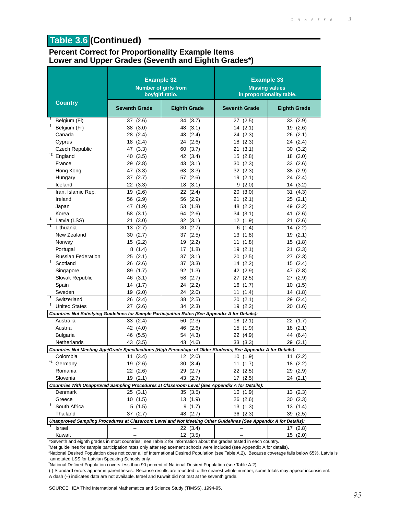# **Table 3.6 (Continued)**

#### **Percent Correct for Proportionality Example Items Lower and Upper Grades (Seventh and Eighth Grades\*)**

|                                                                                                                                | <b>Example 32</b><br>boy/girl ratio. | <b>Number of girls from</b> | <b>Example 33</b><br><b>Missing values</b> | in proportionality table. |
|--------------------------------------------------------------------------------------------------------------------------------|--------------------------------------|-----------------------------|--------------------------------------------|---------------------------|
| <b>Country</b>                                                                                                                 | <b>Seventh Grade</b>                 | <b>Eighth Grade</b>         | <b>Seventh Grade</b>                       | <b>Eighth Grade</b>       |
| Belgium (FI)                                                                                                                   | 37 (2.6)                             | 34 (3.7)                    | 27(2.5)                                    | 33<br>(2.9)               |
| Ť.<br>Belgium (Fr)                                                                                                             | 38 (3.0)                             | 48 (3.1)                    | 14(2.1)                                    | 19<br>(2.6)               |
| Canada                                                                                                                         | 28 (2.4)                             | 43 (2.4)                    | 24 (2.3)                                   | 26 (2.1)                  |
| Cyprus                                                                                                                         | 18 (2.4)                             | 24 (2.6)                    | 18(2.3)                                    | (2.4)<br>24               |
| <b>Czech Republic</b>                                                                                                          | 47 (3.3)                             | 60 (3.7)                    | 21(3.1)                                    | 30(3.2)                   |
| $t^2$ England                                                                                                                  | 40<br>(3.5)                          | 42 (3.4)                    | 15<br>(2.8)                                | 18<br>(3.0)               |
| France                                                                                                                         | 29(2.8)                              | 43 (3.1)                    | 30(2.3)                                    | (2.6)<br>33               |
| Hong Kong                                                                                                                      | 47 (3.3)                             | 63 (3.3)                    | 32 (2.3)                                   | 38 (2.9)                  |
| Hungary                                                                                                                        | 37 (2.7)                             | 57 (2.6)                    | 19(2.1)                                    | 24 (2.4)                  |
| Iceland                                                                                                                        | 22 (3.3)                             | 18(3.1)                     | 9(2.0)                                     | 14(3.2)                   |
| Iran, Islamic Rep.                                                                                                             | 19 (2.6)                             | 22(2.4)                     | 20(3.0)                                    | 31(4.3)                   |
| Ireland                                                                                                                        | 56 (2.9)                             | 56 (2.9)                    | 21(2.1)                                    | 25(2.1)                   |
| Japan                                                                                                                          | 47 (1.9)                             | 53 (1.8)                    | 48 (2.2)                                   | 49<br>(2.2)               |
| Korea                                                                                                                          | 58 (3.1)                             | 64 (2.6)                    | 34(3.1)                                    | (2.6)<br>41               |
| 1<br>Latvia (LSS)                                                                                                              | 21 (3.0)                             | 32 (3.1)                    | 12 (1.9)                                   | (2.6)<br>21               |
| $\mathbf{1}$<br>Lithuania                                                                                                      | 13(2.7)                              | 30(2.7)                     | 6(1.4)                                     | (2.2)<br>14               |
| New Zealand                                                                                                                    | 30 (2.7)                             | 37(2.5)                     | 13 (1.8)                                   | 19(2.1)                   |
| Norway                                                                                                                         | 15 (2.2)                             | 19(2.2)                     | 11 (1.8)                                   | 15(1.8)                   |
| Portugal                                                                                                                       | 8(1.4)                               | 17(1.8)                     | 19(2.1)                                    | 21<br>(2.3)               |
| Russian Federation                                                                                                             | 25(2.1)                              | 37 (3.1)                    | 20(2.5)                                    | 27 (2.3)                  |
| $\ddot{\phantom{1}}$<br>Scotland                                                                                               | 26 (2.6)                             | 37<br>(3.3)                 | 14<br>(2.2)                                | 15<br>(2.4)               |
| Singapore                                                                                                                      | 89 (1.7)                             | 92 (1.3)                    | 42 (2.9)                                   | 47<br>(2.8)               |
| Slovak Republic                                                                                                                | 46 (3.1)                             | 58 (2.7)                    | 27 (2.5)                                   | 27 (2.9)                  |
| Spain                                                                                                                          | 14 (1.7)                             | 24 (2.2)                    | 16(1.7)                                    | 10<br>(1.5)               |
| Sweden                                                                                                                         | 19(2.0)                              | 24 (2.0)                    | 11 $(1.4)$                                 | 14(1.8)                   |
| Switzerland                                                                                                                    | 26 (2.4)                             | 38 (2.5)                    | 20(2.1)                                    | 29<br>(2.4)               |
| t.<br><b>United States</b>                                                                                                     | 27 (2.6)                             | 34 (2.3)                    | 19(2.2)                                    | 20 (1.6)                  |
| Countries Not Satisfying Guidelines for Sample Participation Rates (See Appendix A for Details):                               |                                      |                             |                                            |                           |
| Australia                                                                                                                      | 33(2.4)                              | 50(2.3)                     | 18(2.1)                                    | 22(1.7)                   |
| Austria                                                                                                                        | 42 (4.0)                             | 46 (2.6)                    | 15(1.9)                                    | 18(2.1)                   |
|                                                                                                                                |                                      |                             |                                            | 44 (6.4)                  |
| <b>Bulgaria</b>                                                                                                                | 46 (5.5)                             | 54 (4.3)                    | 22 (4.9)                                   |                           |
| Netherlands<br>Countries Not Meeting Age/Grade Specifications (High Percentage of Older Students; See Appendix A for Details): | 43 (3.5)                             | 43 (4.6)                    | 33 (3.3)                                   | 29 (3.1)                  |
| Colombia                                                                                                                       | (3.4)                                |                             |                                            |                           |
| †1                                                                                                                             | 11                                   | 12(2.0)                     | 10<br>(1.9)                                | (2.2)<br>11               |
| Germany                                                                                                                        | 19 (2.6)                             | 30 (3.4)                    | 11 (1.7)                                   | 18 (2.2)                  |
| Romania                                                                                                                        | 22(2.6)                              | 29 (2.7)                    | 22 (2.5)                                   | 29 (2.9)                  |
| Slovenia                                                                                                                       | 19(2.1)                              | 43 (2.7)                    | 17(2.5)                                    | 24(2.1)                   |
| Countries With Unapproved Sampling Procedures at Classroom Level (See Appendix A for Details):                                 |                                      |                             |                                            |                           |
| Denmark                                                                                                                        | 25(3.1)                              | 35 (3.5)                    | 10(1.9)                                    | 13(2.3)                   |
| Greece<br>Ť.                                                                                                                   | 10(1.5)                              | 13(1.9)                     | 26(2.6)                                    | 30(2.3)                   |
| South Africa                                                                                                                   | 5(1.5)                               | 9(1.7)                      | 13(1.3)                                    | 13 (1.4)                  |
| Thailand                                                                                                                       | 37 (2.7)                             | 48 (2.7)                    | 36 (2.3)                                   | 39 (2.5)                  |
| Unapproved Sampling Procedures at Classroom Level and Not Meeting Other Guidelines (See Appendix A for Details):               |                                      |                             |                                            |                           |
| Israel                                                                                                                         |                                      | 22(3.4)                     |                                            | 17 (2.8)                  |
| Kuwait                                                                                                                         |                                      | 12(3.5)                     |                                            | 15(2.0)                   |

\*Seventh and eighth grades in most countries; see Table 2 for information about the grades tested in each country.

† Met guidelines for sample participation rates only after replacement schools were included (see Appendix A for details).

1 National Desired Population does not cover all of International Desired Population (see Table A.2). Because coverage falls below 65%, Latvia is annotated LSS for Latvian Speaking Schools only.

2 National Defined Population covers less than 90 percent of National Desired Population (see Table A.2).

( ) Standard errors appear in parentheses. Because results are rounded to the nearest whole number, some totals may appear inconsistent. A dash (–) indicates data are not available. Israel and Kuwait did not test at the seventh grade.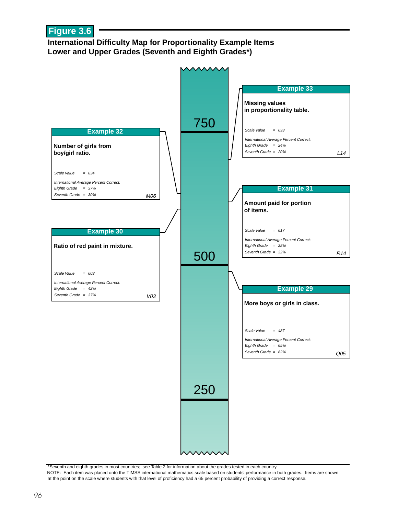## **Figure 3.6**

#### **International Difficulty Map for Proportionality Example Items Lower and Upper Grades (Seventh and Eighth Grades\*)**



\*Seventh and eighth grades in most countries; see Table 2 for information about the grades tested in each country. NOTE: Each item was placed onto the TIMSS international mathematics scale based on students' performance in both grades. Items are shown at the point on the scale where students with that level of proficiency had a 65 percent probability of providing a correct response.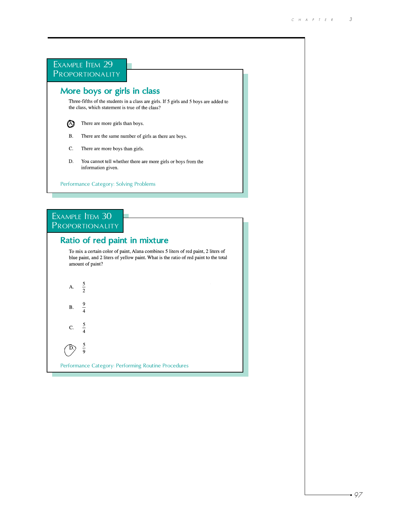

Performance Category: Performing Routine Procedures

9  $\mathbf B.$  $\overline{4}$ 

 $\frac{5}{4}$  ${\bf C}.$ 

 $rac{5}{9}$  $\bigcirc$